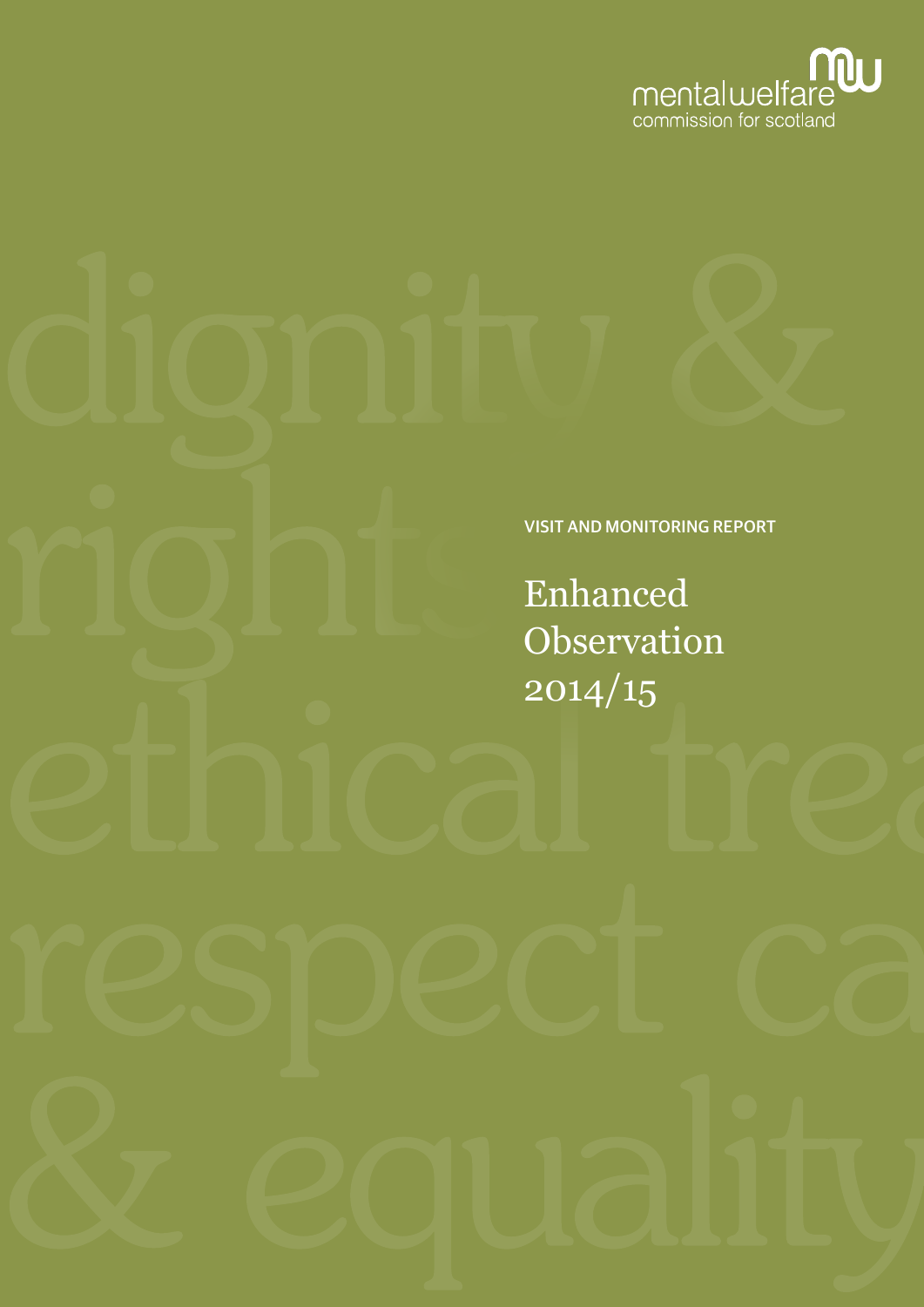

VISIT AND MONITORING REPORT

Enhanced **Observation** 2014/15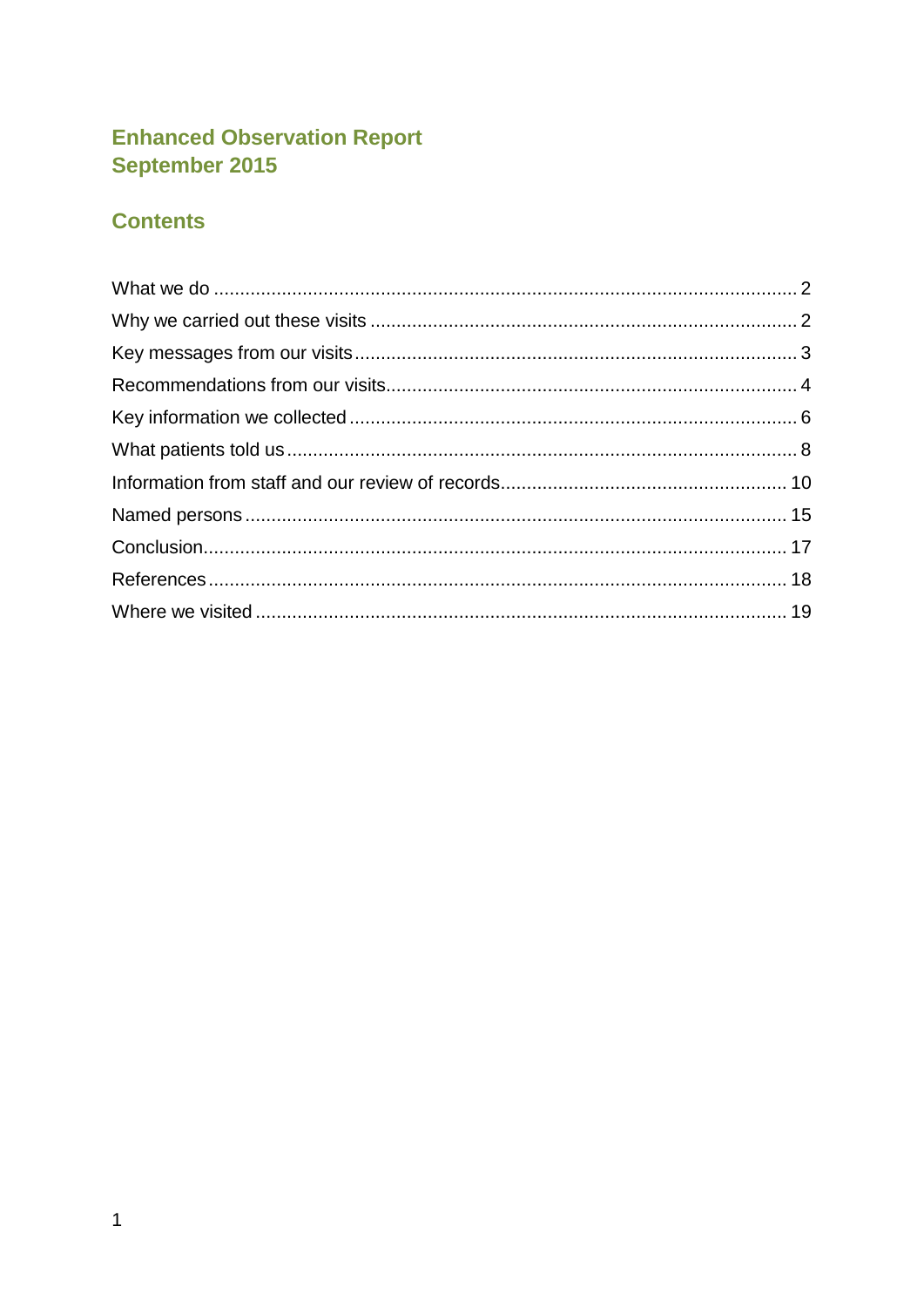# **Enhanced Observation Report** September 2015

# **Contents**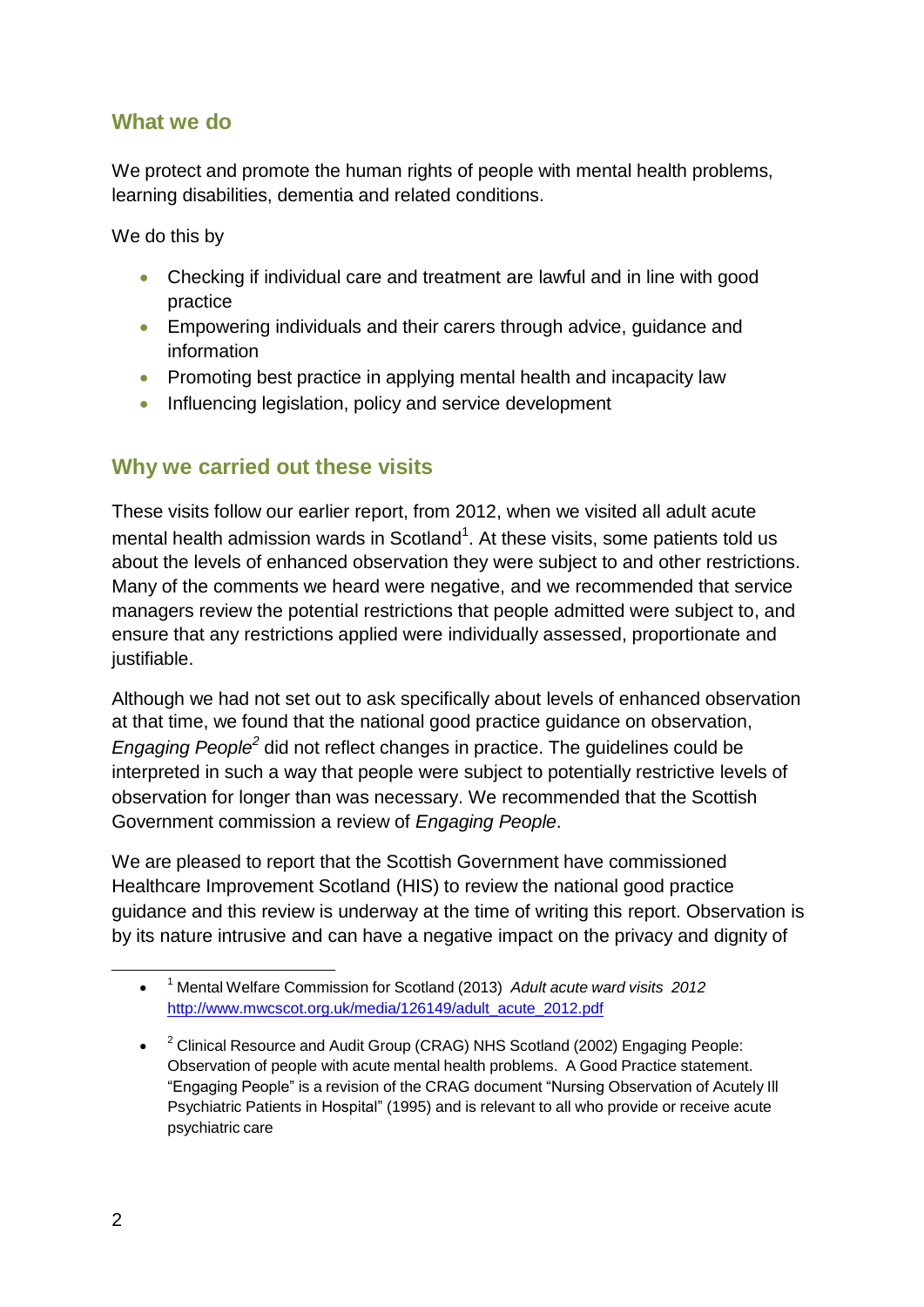### <span id="page-2-0"></span>**What we do**

We protect and promote the human rights of people with mental health problems, learning disabilities, dementia and related conditions.

We do this by

- Checking if individual care and treatment are lawful and in line with good practice
- Empowering individuals and their carers through advice, guidance and information
- Promoting best practice in applying mental health and incapacity law
- Influencing legislation, policy and service development

### <span id="page-2-1"></span>**Why we carried out these visits**

These visits follow our earlier report, from 2012, when we visited all adult acute mental health admission wards in Scotland<sup>1</sup>. At these visits, some patients told us about the levels of enhanced observation they were subject to and other restrictions. Many of the comments we heard were negative, and we recommended that service managers review the potential restrictions that people admitted were subject to, and ensure that any restrictions applied were individually assessed, proportionate and justifiable.

Although we had not set out to ask specifically about levels of enhanced observation at that time, we found that the national good practice guidance on observation, *Engaging People<sup>2</sup>* did not reflect changes in practice. The guidelines could be interpreted in such a way that people were subject to potentially restrictive levels of observation for longer than was necessary. We recommended that the Scottish Government commission a review of *Engaging People*.

We are pleased to report that the Scottish Government have commissioned Healthcare Improvement Scotland (HIS) to review the national good practice guidance and this review is underway at the time of writing this report. Observation is by its nature intrusive and can have a negative impact on the privacy and dignity of

 $\bullet$ <sup>1</sup> Mental Welfare Commission for Scotland (2013) *Adult acute ward visits 2012* [http://www.mwcscot.org.uk/media/126149/adult\\_acute\\_2012.pdf](http://www.mwcscot.org.uk/media/126149/adult_acute_2012.pdf)

 $\bullet$   $^{-2}$  Clinical Resource and Audit Group (CRAG) NHS Scotland (2002) Engaging People: Observation of people with acute mental health problems. A Good Practice statement. "Engaging People" is a revision of the CRAG document "Nursing Observation of Acutely Ill Psychiatric Patients in Hospital" (1995) and is relevant to all who provide or receive acute psychiatric care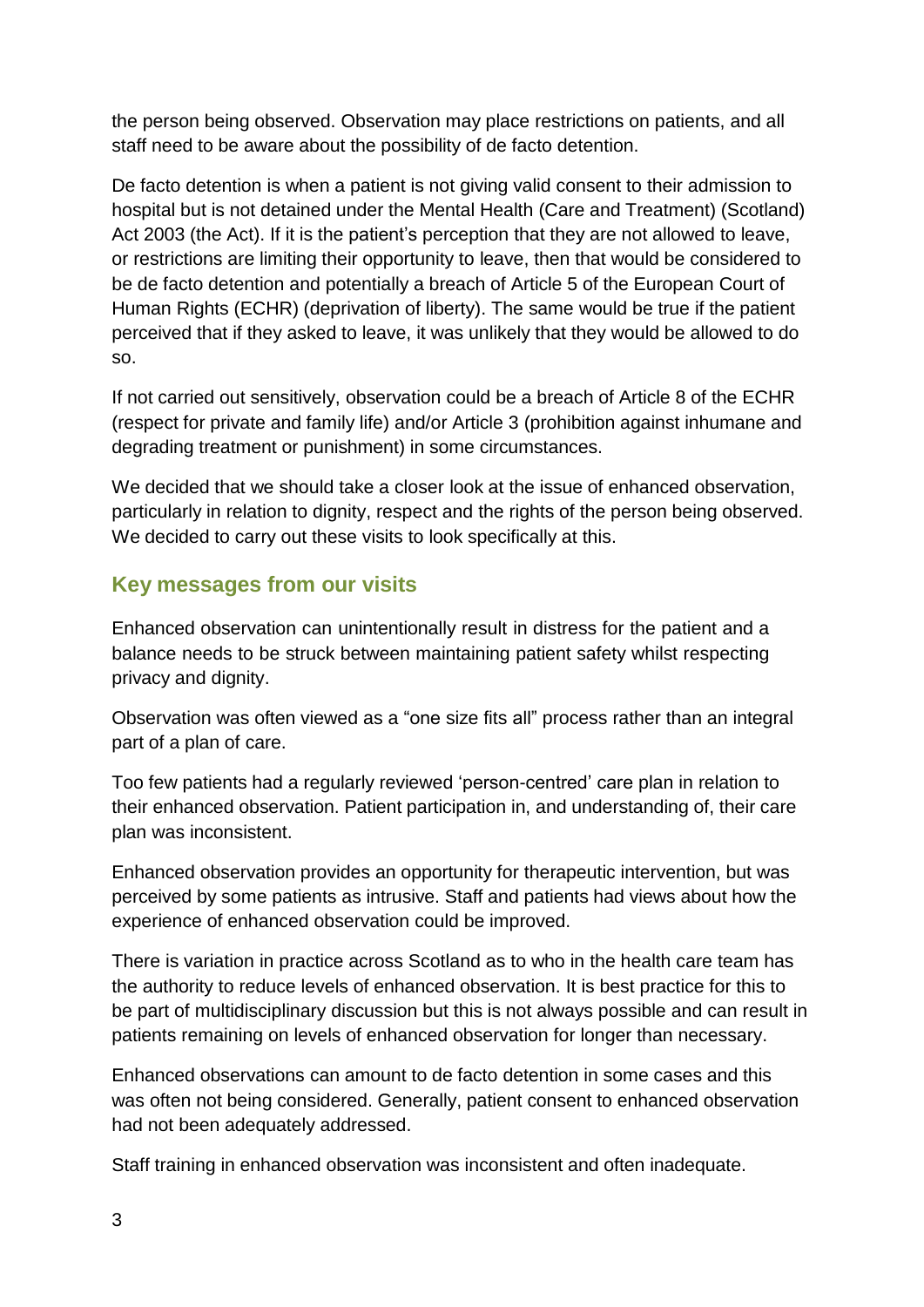the person being observed. Observation may place restrictions on patients, and all staff need to be aware about the possibility of de facto detention.

De facto detention is when a patient is not giving valid consent to their admission to hospital but is not detained under the Mental Health (Care and Treatment) (Scotland) Act 2003 (the Act). If it is the patient's perception that they are not allowed to leave, or restrictions are limiting their opportunity to leave, then that would be considered to be de facto detention and potentially a breach of Article 5 of the European Court of Human Rights (ECHR) (deprivation of liberty). The same would be true if the patient perceived that if they asked to leave, it was unlikely that they would be allowed to do so.

If not carried out sensitively, observation could be a breach of Article 8 of the ECHR (respect for private and family life) and/or Article 3 (prohibition against inhumane and degrading treatment or punishment) in some circumstances.

We decided that we should take a closer look at the issue of enhanced observation, particularly in relation to dignity, respect and the rights of the person being observed. We decided to carry out these visits to look specifically at this.

### <span id="page-3-0"></span>**Key messages from our visits**

Enhanced observation can unintentionally result in distress for the patient and a balance needs to be struck between maintaining patient safety whilst respecting privacy and dignity.

Observation was often viewed as a "one size fits all" process rather than an integral part of a plan of care.

Too few patients had a regularly reviewed 'person-centred' care plan in relation to their enhanced observation. Patient participation in, and understanding of, their care plan was inconsistent.

Enhanced observation provides an opportunity for therapeutic intervention, but was perceived by some patients as intrusive. Staff and patients had views about how the experience of enhanced observation could be improved.

There is variation in practice across Scotland as to who in the health care team has the authority to reduce levels of enhanced observation. It is best practice for this to be part of multidisciplinary discussion but this is not always possible and can result in patients remaining on levels of enhanced observation for longer than necessary.

Enhanced observations can amount to de facto detention in some cases and this was often not being considered. Generally, patient consent to enhanced observation had not been adequately addressed.

Staff training in enhanced observation was inconsistent and often inadequate.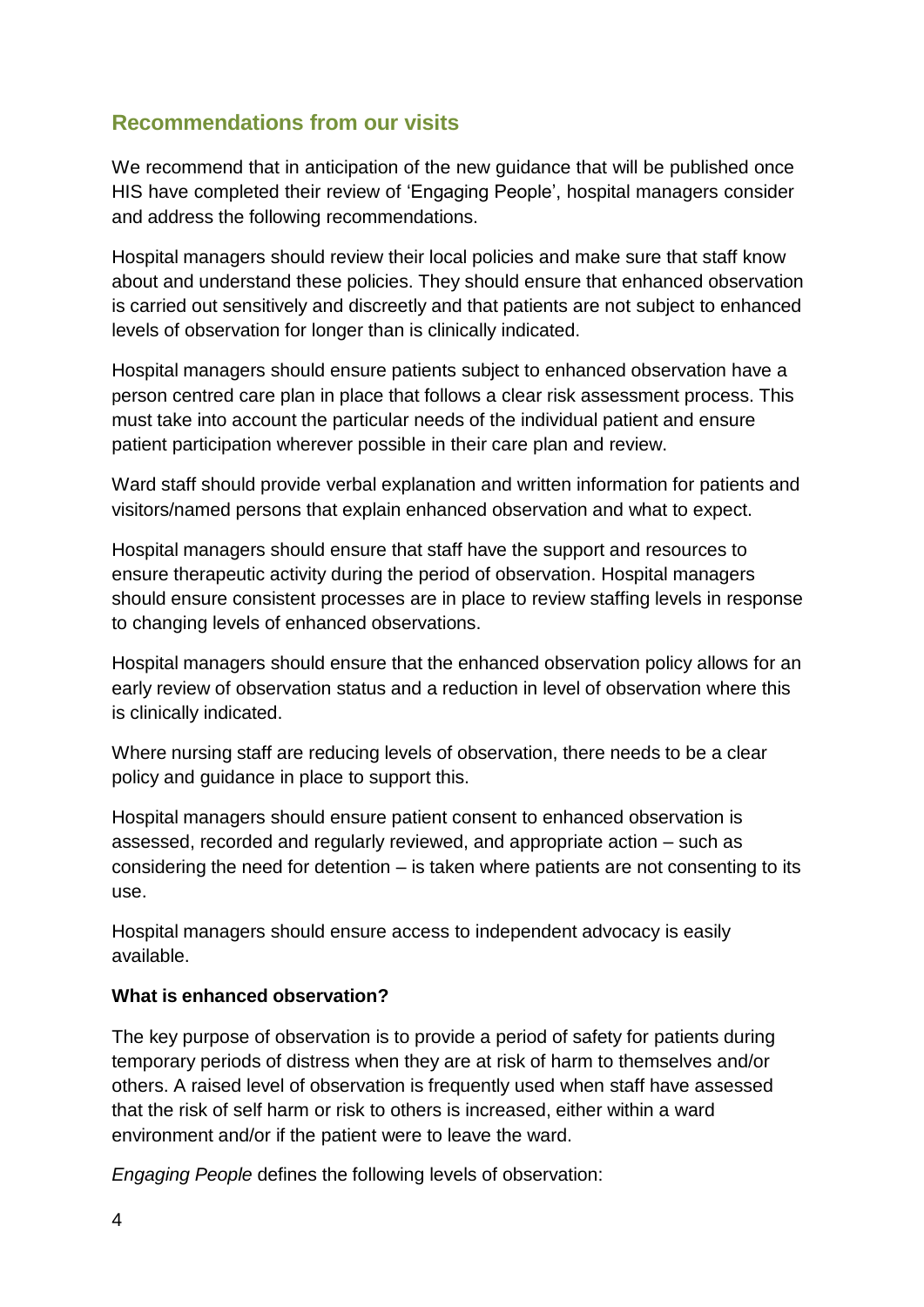# <span id="page-4-0"></span>**Recommendations from our visits**

We recommend that in anticipation of the new guidance that will be published once HIS have completed their review of 'Engaging People', hospital managers consider and address the following recommendations.

Hospital managers should review their local policies and make sure that staff know about and understand these policies. They should ensure that enhanced observation is carried out sensitively and discreetly and that patients are not subject to enhanced levels of observation for longer than is clinically indicated.

Hospital managers should ensure patients subject to enhanced observation have a person centred care plan in place that follows a clear risk assessment process. This must take into account the particular needs of the individual patient and ensure patient participation wherever possible in their care plan and review.

Ward staff should provide verbal explanation and written information for patients and visitors/named persons that explain enhanced observation and what to expect.

Hospital managers should ensure that staff have the support and resources to ensure therapeutic activity during the period of observation. Hospital managers should ensure consistent processes are in place to review staffing levels in response to changing levels of enhanced observations.

Hospital managers should ensure that the enhanced observation policy allows for an early review of observation status and a reduction in level of observation where this is clinically indicated.

Where nursing staff are reducing levels of observation, there needs to be a clear policy and guidance in place to support this.

Hospital managers should ensure patient consent to enhanced observation is assessed, recorded and regularly reviewed, and appropriate action – such as considering the need for detention – is taken where patients are not consenting to its use.

Hospital managers should ensure access to independent advocacy is easily available.

### **What is enhanced observation?**

The key purpose of observation is to provide a period of safety for patients during temporary periods of distress when they are at risk of harm to themselves and/or others. A raised level of observation is frequently used when staff have assessed that the risk of self harm or risk to others is increased, either within a ward environment and/or if the patient were to leave the ward.

*Engaging People* defines the following levels of observation: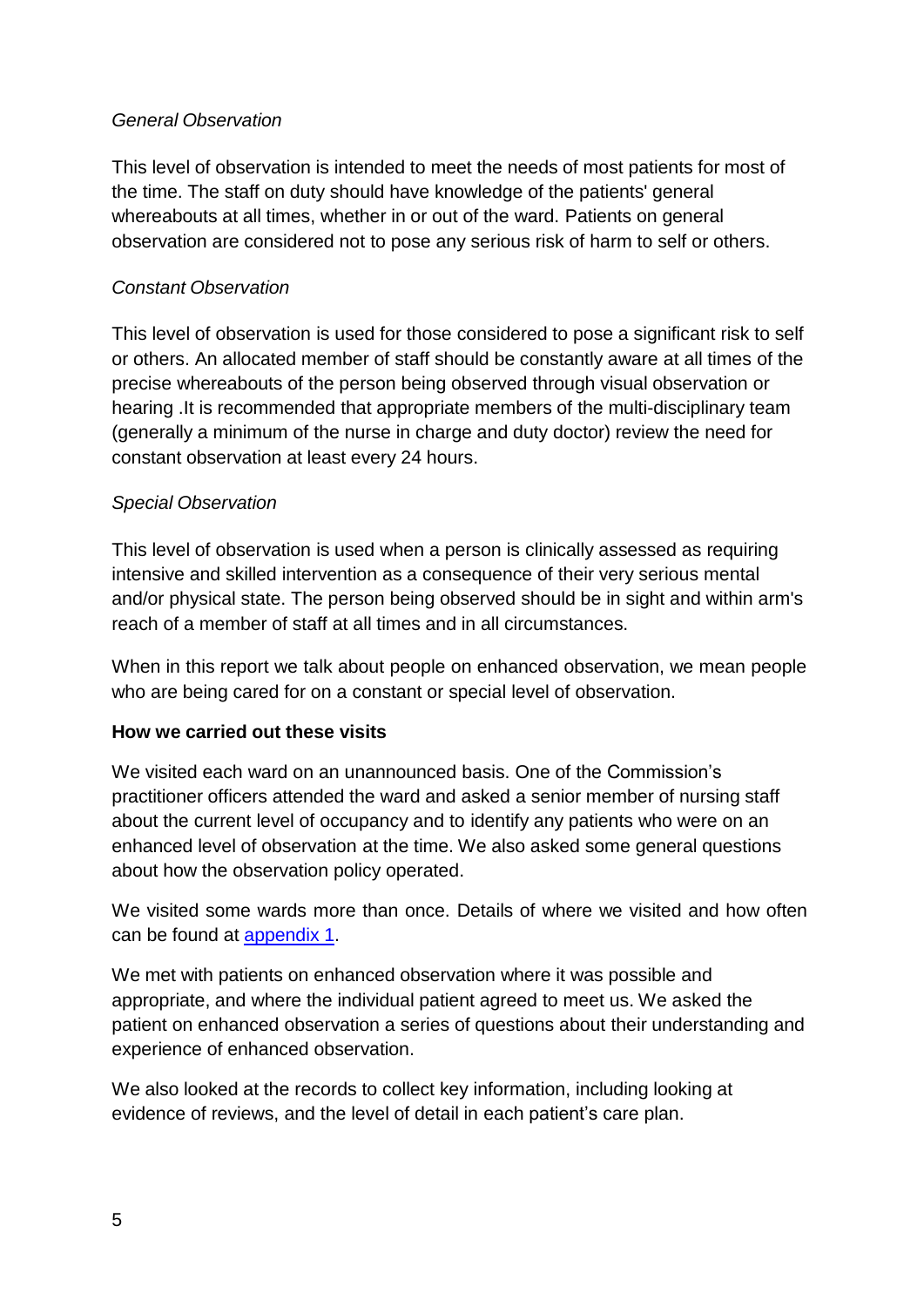#### *General Observation*

This level of observation is intended to meet the needs of most patients for most of the time. The staff on duty should have knowledge of the patients' general whereabouts at all times, whether in or out of the ward. Patients on general observation are considered not to pose any serious risk of harm to self or others.

#### *Constant Observation*

This level of observation is used for those considered to pose a significant risk to self or others. An allocated member of staff should be constantly aware at all times of the precise whereabouts of the person being observed through visual observation or hearing .It is recommended that appropriate members of the multi-disciplinary team (generally a minimum of the nurse in charge and duty doctor) review the need for constant observation at least every 24 hours.

#### *Special Observation*

This level of observation is used when a person is clinically assessed as requiring intensive and skilled intervention as a consequence of their very serious mental and/or physical state. The person being observed should be in sight and within arm's reach of a member of staff at all times and in all circumstances.

When in this report we talk about people on enhanced observation, we mean people who are being cared for on a constant or special level of observation.

#### **How we carried out these visits**

We visited each ward on an unannounced basis. One of the Commission's practitioner officers attended the ward and asked a senior member of nursing staff about the current level of occupancy and to identify any patients who were on an enhanced level of observation at the time. We also asked some general questions about how the observation policy operated.

We visited some wards more than once. Details of where we visited and how often can be found at **[appendix](#page-19-0) 1**.

We met with patients on enhanced observation where it was possible and appropriate, and where the individual patient agreed to meet us. We asked the patient on enhanced observation a series of questions about their understanding and experience of enhanced observation.

We also looked at the records to collect key information, including looking at evidence of reviews, and the level of detail in each patient's care plan.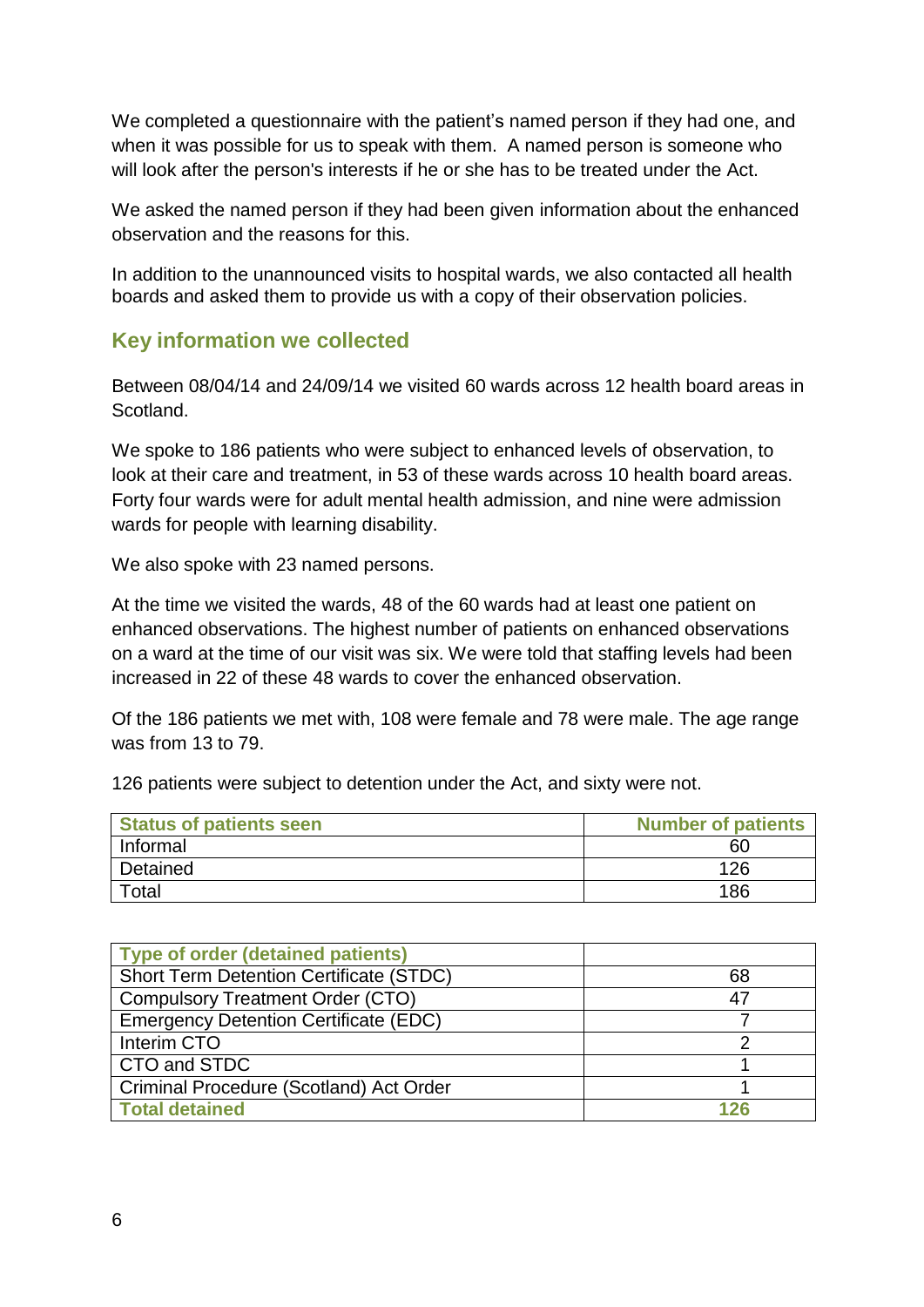We completed a questionnaire with the patient's named person if they had one, and when it was possible for us to speak with them. A named person is someone who will look after the person's interests if he or she has to be treated under the Act.

We asked the named person if they had been given information about the enhanced observation and the reasons for this.

In addition to the unannounced visits to hospital wards, we also contacted all health boards and asked them to provide us with a copy of their observation policies.

### <span id="page-6-0"></span>**Key information we collected**

Between 08/04/14 and 24/09/14 we visited 60 wards across 12 health board areas in Scotland.

We spoke to 186 patients who were subject to enhanced levels of observation, to look at their care and treatment, in 53 of these wards across 10 health board areas. Forty four wards were for adult mental health admission, and nine were admission wards for people with learning disability.

We also spoke with 23 named persons.

At the time we visited the wards, 48 of the 60 wards had at least one patient on enhanced observations. The highest number of patients on enhanced observations on a ward at the time of our visit was six. We were told that staffing levels had been increased in 22 of these 48 wards to cover the enhanced observation.

Of the 186 patients we met with, 108 were female and 78 were male. The age range was from 13 to 79.

126 patients were subject to detention under the Act, and sixty were not.

| <b>Status of patients seen</b> | <b>Number of patients</b> |
|--------------------------------|---------------------------|
| Informal                       | 60                        |
| Detained                       | 126                       |
| Total                          | 186                       |

| <b>Type of order (detained patients)</b>       |     |
|------------------------------------------------|-----|
| <b>Short Term Detention Certificate (STDC)</b> | 68  |
| <b>Compulsory Treatment Order (CTO)</b>        | 47  |
| <b>Emergency Detention Certificate (EDC)</b>   |     |
| Interim CTO                                    |     |
| CTO and STDC                                   |     |
| Criminal Procedure (Scotland) Act Order        |     |
| <b>Total detained</b>                          | 126 |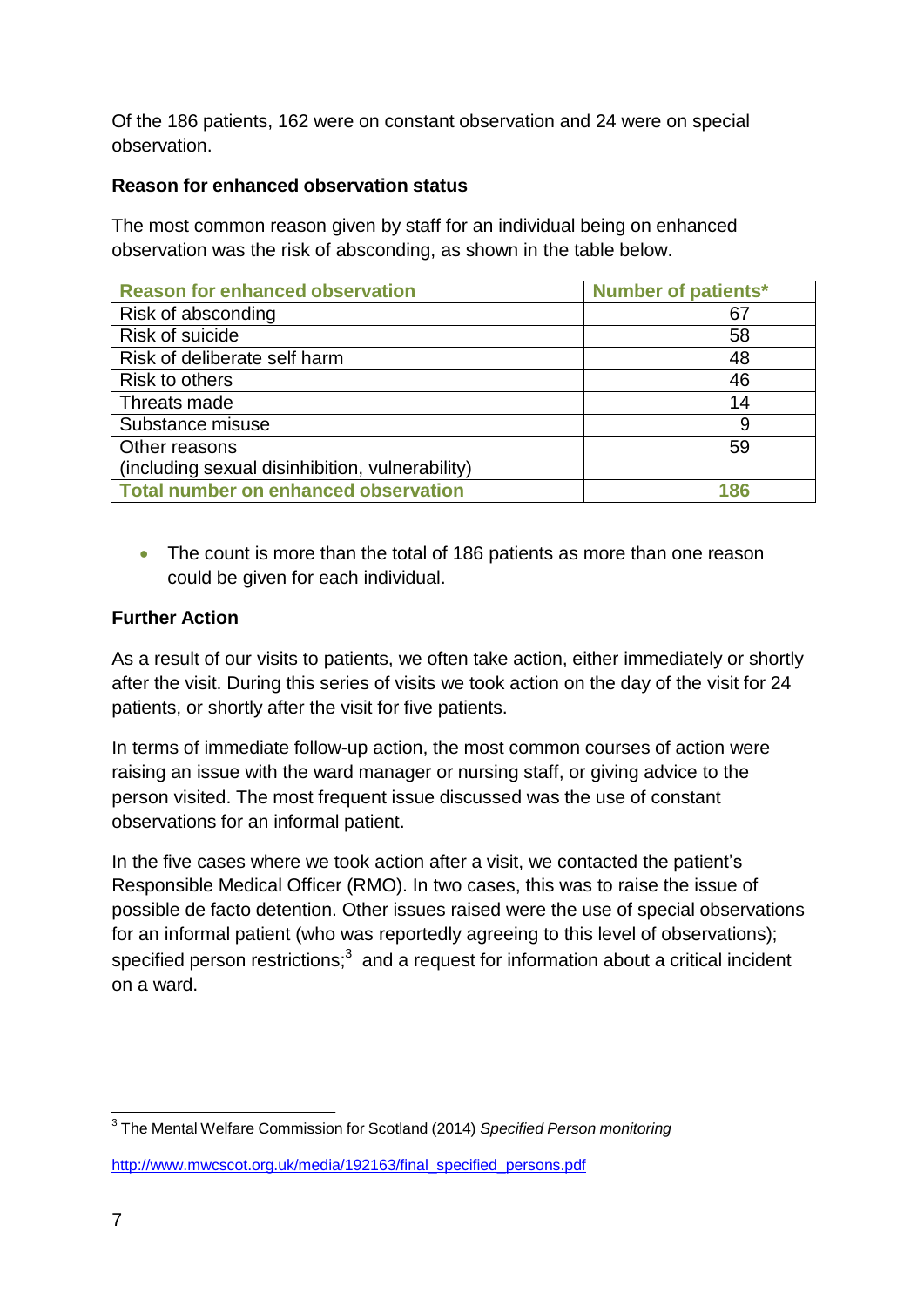Of the 186 patients, 162 were on constant observation and 24 were on special observation.

### **Reason for enhanced observation status**

The most common reason given by staff for an individual being on enhanced observation was the risk of absconding, as shown in the table below.

| <b>Reason for enhanced observation</b>          | <b>Number of patients*</b> |
|-------------------------------------------------|----------------------------|
| Risk of absconding                              | 67                         |
| Risk of suicide                                 | 58                         |
| Risk of deliberate self harm                    | 48                         |
| Risk to others                                  | 46                         |
| Threats made                                    | 14                         |
| Substance misuse                                | 9                          |
| Other reasons                                   | 59                         |
| (including sexual disinhibition, vulnerability) |                            |
| <b>Total number on enhanced observation</b>     | 186                        |

• The count is more than the total of 186 patients as more than one reason could be given for each individual.

#### **Further Action**

As a result of our visits to patients, we often take action, either immediately or shortly after the visit. During this series of visits we took action on the day of the visit for 24 patients, or shortly after the visit for five patients.

In terms of immediate follow-up action, the most common courses of action were raising an issue with the ward manager or nursing staff, or giving advice to the person visited. The most frequent issue discussed was the use of constant observations for an informal patient.

In the five cases where we took action after a visit, we contacted the patient's Responsible Medical Officer (RMO). In two cases, this was to raise the issue of possible de facto detention. Other issues raised were the use of special observations for an informal patient (who was reportedly agreeing to this level of observations); specified person restrictions; $^3$  and a request for information about a critical incident on a ward.

[http://www.mwcscot.org.uk/media/192163/final\\_specified\\_persons.pdf](http://www.mwcscot.org.uk/media/192163/final_specified_persons.pdf)

<sup>3</sup> The Mental Welfare Commission for Scotland (2014) *Specified Person monitoring*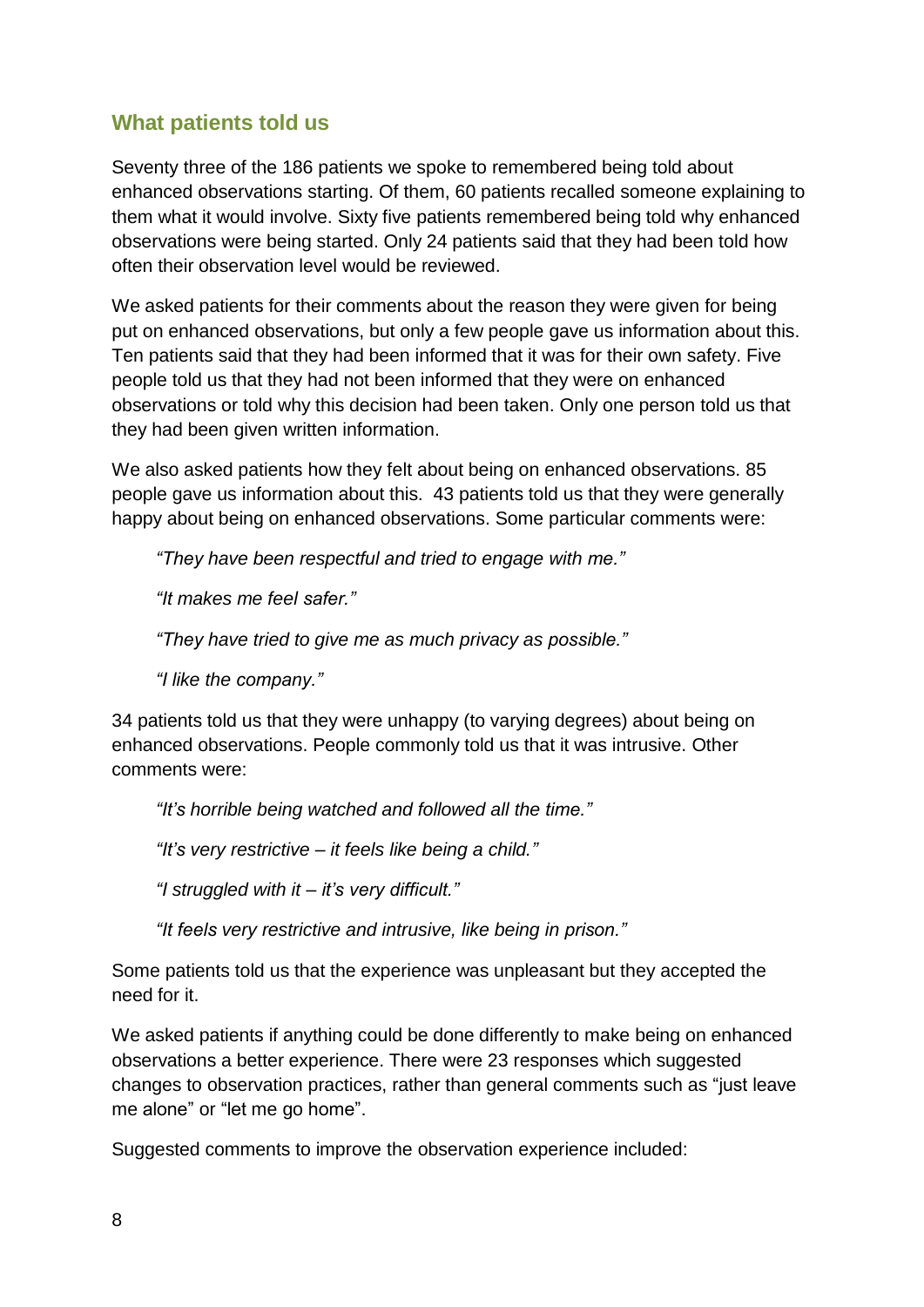### <span id="page-8-0"></span>**What patients told us**

Seventy three of the 186 patients we spoke to remembered being told about enhanced observations starting. Of them, 60 patients recalled someone explaining to them what it would involve. Sixty five patients remembered being told why enhanced observations were being started. Only 24 patients said that they had been told how often their observation level would be reviewed.

We asked patients for their comments about the reason they were given for being put on enhanced observations, but only a few people gave us information about this. Ten patients said that they had been informed that it was for their own safety. Five people told us that they had not been informed that they were on enhanced observations or told why this decision had been taken. Only one person told us that they had been given written information.

We also asked patients how they felt about being on enhanced observations. 85 people gave us information about this. 43 patients told us that they were generally happy about being on enhanced observations. Some particular comments were:

*"They have been respectful and tried to engage with me."*

*"It makes me feel safer."*

*"They have tried to give me as much privacy as possible."*

*"I like the company."*

34 patients told us that they were unhappy (to varying degrees) about being on enhanced observations. People commonly told us that it was intrusive. Other comments were:

*"It's horrible being watched and followed all the time."*

*"It's very restrictive – it feels like being a child."*

*"I struggled with it – it's very difficult."*

*"It feels very restrictive and intrusive, like being in prison."*

Some patients told us that the experience was unpleasant but they accepted the need for it.

We asked patients if anything could be done differently to make being on enhanced observations a better experience. There were 23 responses which suggested changes to observation practices, rather than general comments such as "just leave me alone" or "let me go home".

Suggested comments to improve the observation experience included: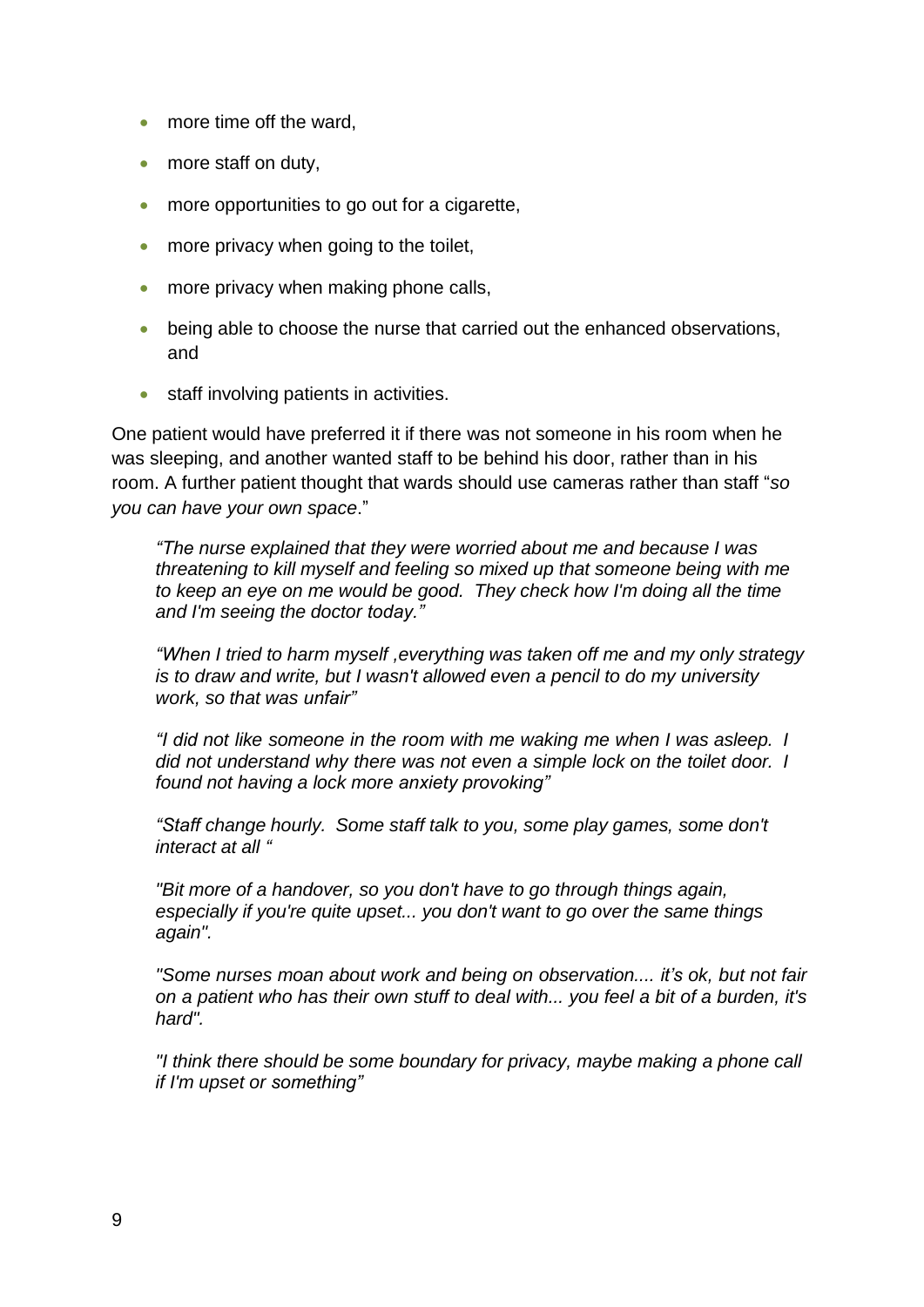- more time off the ward,
- more staff on duty,
- more opportunities to go out for a cigarette,
- more privacy when going to the toilet,
- more privacy when making phone calls,
- being able to choose the nurse that carried out the enhanced observations, and
- **•** staff involving patients in activities.

One patient would have preferred it if there was not someone in his room when he was sleeping, and another wanted staff to be behind his door, rather than in his room. A further patient thought that wards should use cameras rather than staff "*so you can have your own space*."

*"The nurse explained that they were worried about me and because I was threatening to kill myself and feeling so mixed up that someone being with me to keep an eye on me would be good. They check how I'm doing all the time and I'm seeing the doctor today."*

*"When I tried to harm myself ,everything was taken off me and my only strategy is to draw and write, but I wasn't allowed even a pencil to do my university work, so that was unfair"*

*"I did not like someone in the room with me waking me when I was asleep. I did not understand why there was not even a simple lock on the toilet door. I found not having a lock more anxiety provoking"*

*"Staff change hourly. Some staff talk to you, some play games, some don't interact at all "*

*"Bit more of a handover, so you don't have to go through things again, especially if you're quite upset... you don't want to go over the same things again".*

*"Some nurses moan about work and being on observation.... it's ok, but not fair on a patient who has their own stuff to deal with... you feel a bit of a burden, it's hard".*

*"I think there should be some boundary for privacy, maybe making a phone call if I'm upset or something"*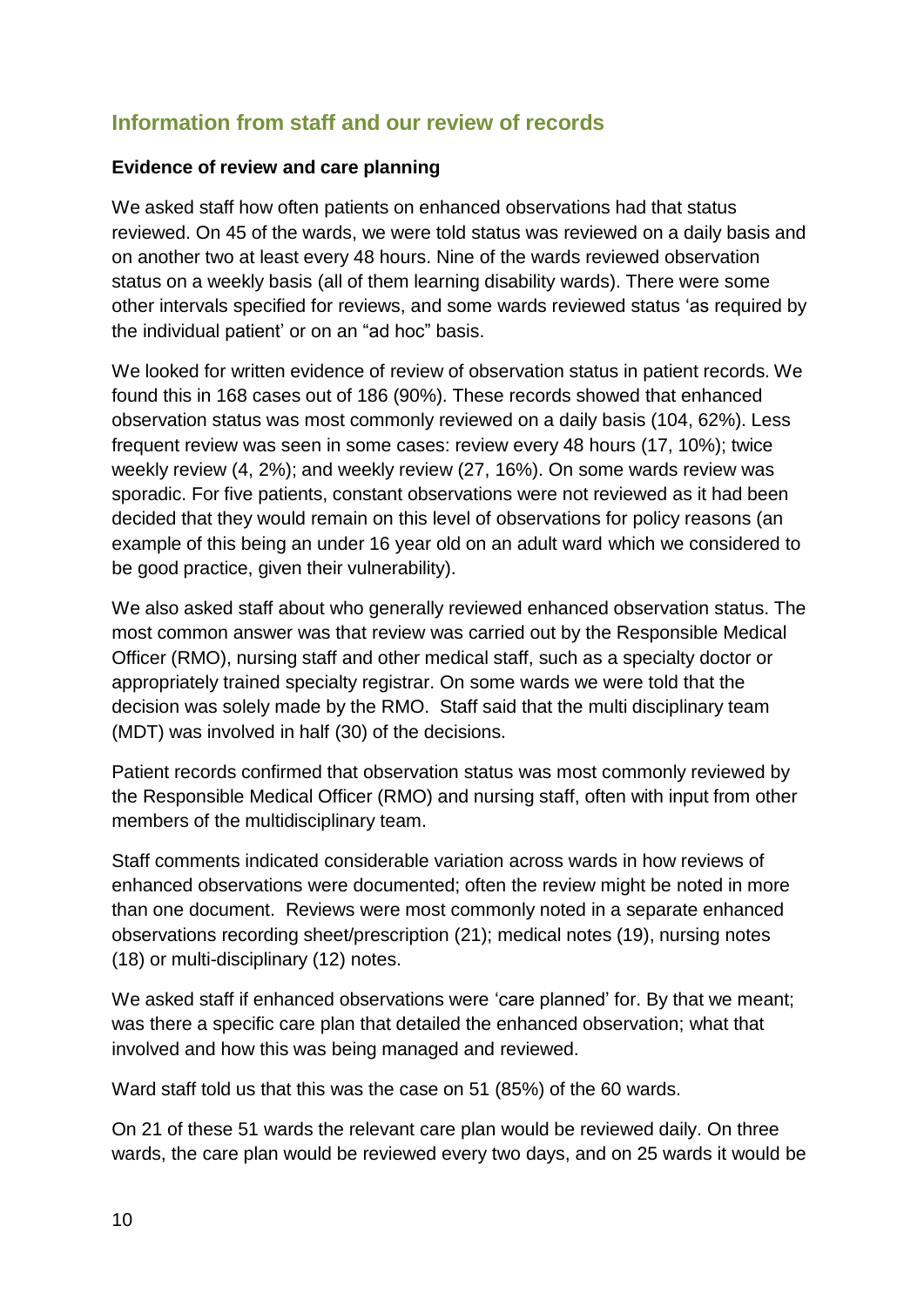### <span id="page-10-0"></span>**Information from staff and our review of records**

#### **Evidence of review and care planning**

We asked staff how often patients on enhanced observations had that status reviewed. On 45 of the wards, we were told status was reviewed on a daily basis and on another two at least every 48 hours. Nine of the wards reviewed observation status on a weekly basis (all of them learning disability wards). There were some other intervals specified for reviews, and some wards reviewed status 'as required by the individual patient' or on an "ad hoc" basis.

We looked for written evidence of review of observation status in patient records. We found this in 168 cases out of 186 (90%). These records showed that enhanced observation status was most commonly reviewed on a daily basis (104, 62%). Less frequent review was seen in some cases: review every 48 hours (17, 10%); twice weekly review (4, 2%); and weekly review (27, 16%). On some wards review was sporadic. For five patients, constant observations were not reviewed as it had been decided that they would remain on this level of observations for policy reasons (an example of this being an under 16 year old on an adult ward which we considered to be good practice, given their vulnerability).

We also asked staff about who generally reviewed enhanced observation status. The most common answer was that review was carried out by the Responsible Medical Officer (RMO), nursing staff and other medical staff, such as a specialty doctor or appropriately trained specialty registrar. On some wards we were told that the decision was solely made by the RMO. Staff said that the multi disciplinary team (MDT) was involved in half (30) of the decisions.

Patient records confirmed that observation status was most commonly reviewed by the Responsible Medical Officer (RMO) and nursing staff, often with input from other members of the multidisciplinary team.

Staff comments indicated considerable variation across wards in how reviews of enhanced observations were documented; often the review might be noted in more than one document. Reviews were most commonly noted in a separate enhanced observations recording sheet/prescription (21); medical notes (19), nursing notes (18) or multi-disciplinary (12) notes.

We asked staff if enhanced observations were 'care planned' for. By that we meant; was there a specific care plan that detailed the enhanced observation; what that involved and how this was being managed and reviewed.

Ward staff told us that this was the case on 51 (85%) of the 60 wards.

On 21 of these 51 wards the relevant care plan would be reviewed daily. On three wards, the care plan would be reviewed every two days, and on 25 wards it would be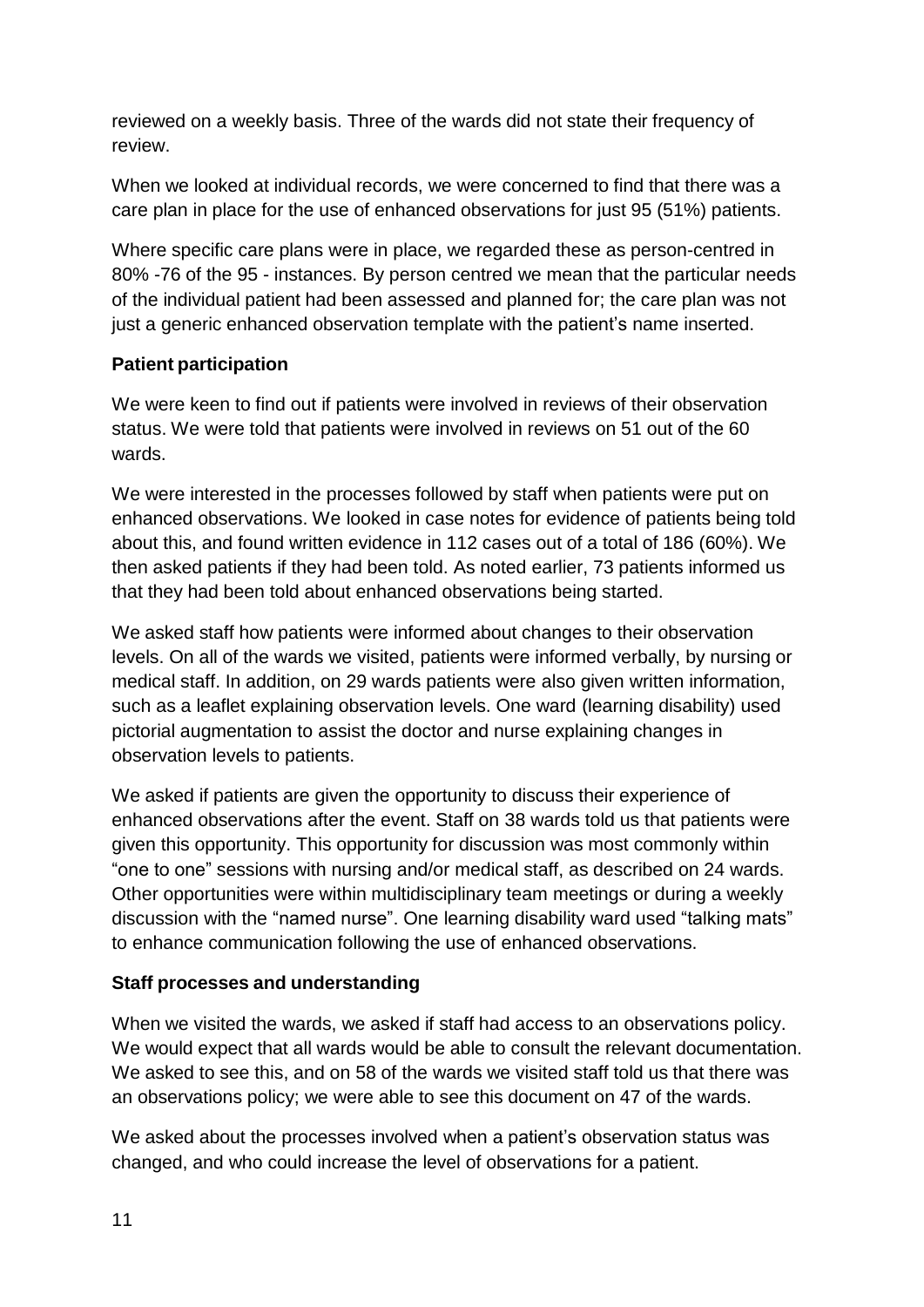reviewed on a weekly basis. Three of the wards did not state their frequency of review.

When we looked at individual records, we were concerned to find that there was a care plan in place for the use of enhanced observations for just 95 (51%) patients.

Where specific care plans were in place, we regarded these as person-centred in 80% -76 of the 95 - instances. By person centred we mean that the particular needs of the individual patient had been assessed and planned for; the care plan was not just a generic enhanced observation template with the patient's name inserted.

### **Patient participation**

We were keen to find out if patients were involved in reviews of their observation status. We were told that patients were involved in reviews on 51 out of the 60 wards.

We were interested in the processes followed by staff when patients were put on enhanced observations. We looked in case notes for evidence of patients being told about this, and found written evidence in 112 cases out of a total of 186 (60%). We then asked patients if they had been told. As noted earlier, 73 patients informed us that they had been told about enhanced observations being started.

We asked staff how patients were informed about changes to their observation levels. On all of the wards we visited, patients were informed verbally, by nursing or medical staff. In addition, on 29 wards patients were also given written information, such as a leaflet explaining observation levels. One ward (learning disability) used pictorial augmentation to assist the doctor and nurse explaining changes in observation levels to patients.

We asked if patients are given the opportunity to discuss their experience of enhanced observations after the event. Staff on 38 wards told us that patients were given this opportunity. This opportunity for discussion was most commonly within "one to one" sessions with nursing and/or medical staff, as described on 24 wards. Other opportunities were within multidisciplinary team meetings or during a weekly discussion with the "named nurse". One learning disability ward used "talking mats" to enhance communication following the use of enhanced observations.

#### **Staff processes and understanding**

When we visited the wards, we asked if staff had access to an observations policy. We would expect that all wards would be able to consult the relevant documentation. We asked to see this, and on 58 of the wards we visited staff told us that there was an observations policy; we were able to see this document on 47 of the wards.

We asked about the processes involved when a patient's observation status was changed, and who could increase the level of observations for a patient.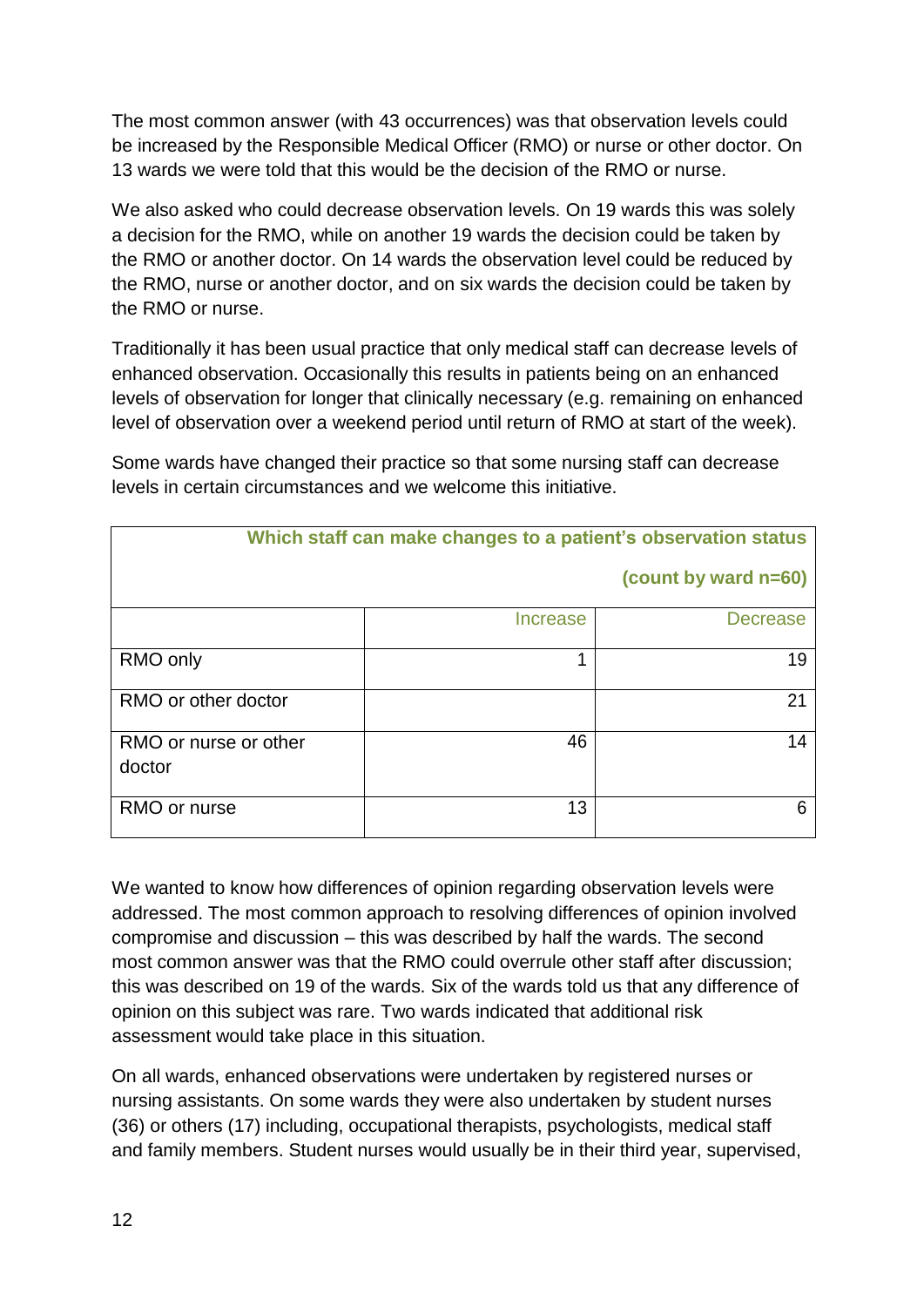The most common answer (with 43 occurrences) was that observation levels could be increased by the Responsible Medical Officer (RMO) or nurse or other doctor. On 13 wards we were told that this would be the decision of the RMO or nurse.

We also asked who could decrease observation levels. On 19 wards this was solely a decision for the RMO, while on another 19 wards the decision could be taken by the RMO or another doctor. On 14 wards the observation level could be reduced by the RMO, nurse or another doctor, and on six wards the decision could be taken by the RMO or nurse.

Traditionally it has been usual practice that only medical staff can decrease levels of enhanced observation. Occasionally this results in patients being on an enhanced levels of observation for longer that clinically necessary (e.g. remaining on enhanced level of observation over a weekend period until return of RMO at start of the week).

**Which staff can make changes to a patient's observation status (count by ward n=60)** Increase Decrease  $RMO$  only  $\begin{array}{ccc} & | & | & | & | \end{array}$  1 RMO or other doctor  $\overline{21}$ RMO or nurse or other doctor 46 14 RMO or nurse The Contract of the Contract of the Contract of the Contract of the Contract of the Contract of the Contract of the Contract of the Contract of the Contract of the Contract of the Contract of the Contract of t

Some wards have changed their practice so that some nursing staff can decrease levels in certain circumstances and we welcome this initiative.

We wanted to know how differences of opinion regarding observation levels were addressed. The most common approach to resolving differences of opinion involved compromise and discussion – this was described by half the wards. The second most common answer was that the RMO could overrule other staff after discussion; this was described on 19 of the wards. Six of the wards told us that any difference of opinion on this subject was rare. Two wards indicated that additional risk assessment would take place in this situation.

On all wards, enhanced observations were undertaken by registered nurses or nursing assistants. On some wards they were also undertaken by student nurses (36) or others (17) including, occupational therapists, psychologists, medical staff and family members. Student nurses would usually be in their third year, supervised,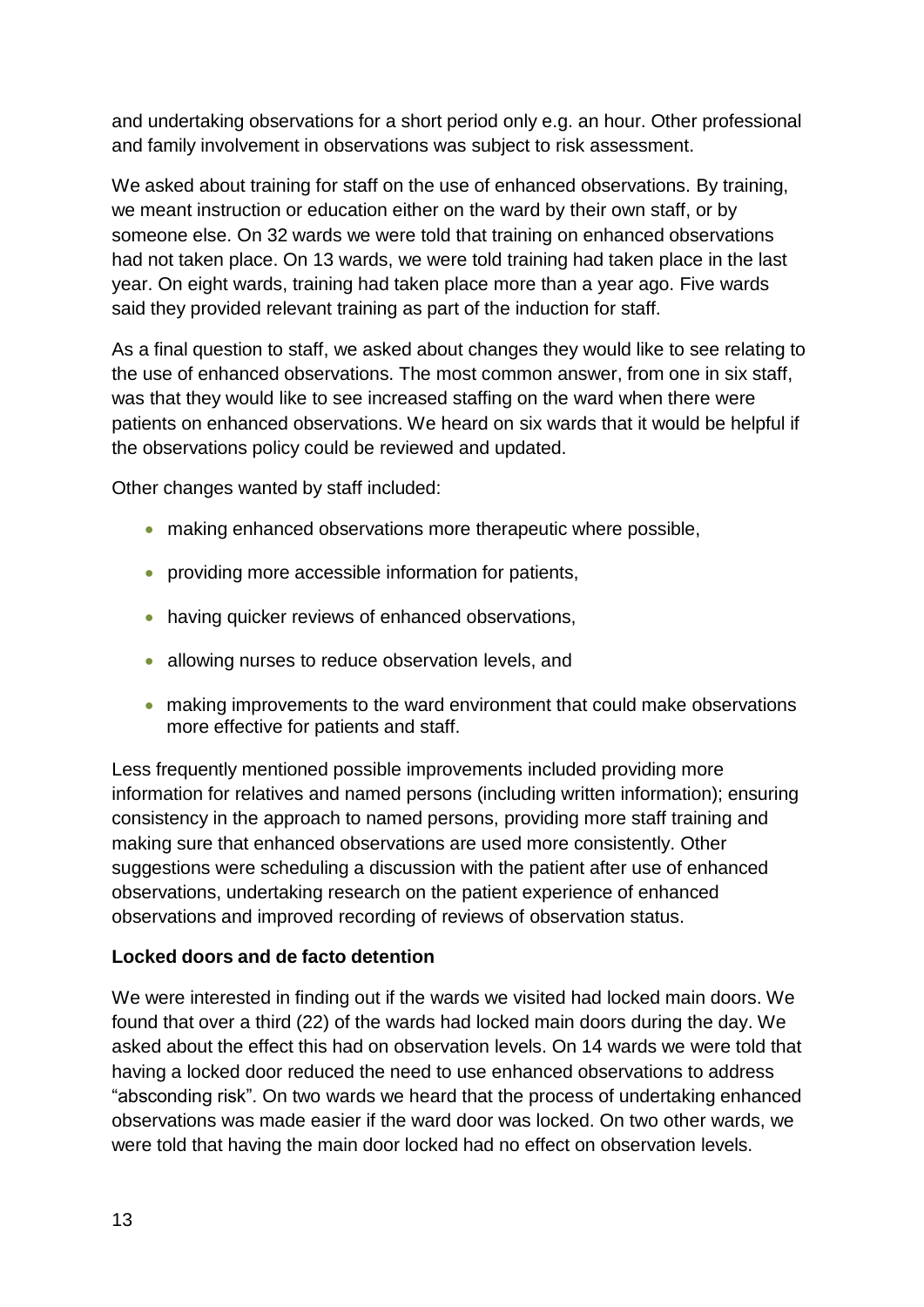and undertaking observations for a short period only e.g. an hour. Other professional and family involvement in observations was subject to risk assessment.

We asked about training for staff on the use of enhanced observations. By training, we meant instruction or education either on the ward by their own staff, or by someone else. On 32 wards we were told that training on enhanced observations had not taken place. On 13 wards, we were told training had taken place in the last year. On eight wards, training had taken place more than a year ago. Five wards said they provided relevant training as part of the induction for staff.

As a final question to staff, we asked about changes they would like to see relating to the use of enhanced observations. The most common answer, from one in six staff, was that they would like to see increased staffing on the ward when there were patients on enhanced observations. We heard on six wards that it would be helpful if the observations policy could be reviewed and updated.

Other changes wanted by staff included:

- making enhanced observations more therapeutic where possible,
- providing more accessible information for patients,
- having quicker reviews of enhanced observations,
- allowing nurses to reduce observation levels, and
- making improvements to the ward environment that could make observations more effective for patients and staff.

Less frequently mentioned possible improvements included providing more information for relatives and named persons (including written information); ensuring consistency in the approach to named persons, providing more staff training and making sure that enhanced observations are used more consistently. Other suggestions were scheduling a discussion with the patient after use of enhanced observations, undertaking research on the patient experience of enhanced observations and improved recording of reviews of observation status.

### **Locked doors and de facto detention**

We were interested in finding out if the wards we visited had locked main doors. We found that over a third (22) of the wards had locked main doors during the day. We asked about the effect this had on observation levels. On 14 wards we were told that having a locked door reduced the need to use enhanced observations to address "absconding risk". On two wards we heard that the process of undertaking enhanced observations was made easier if the ward door was locked. On two other wards, we were told that having the main door locked had no effect on observation levels.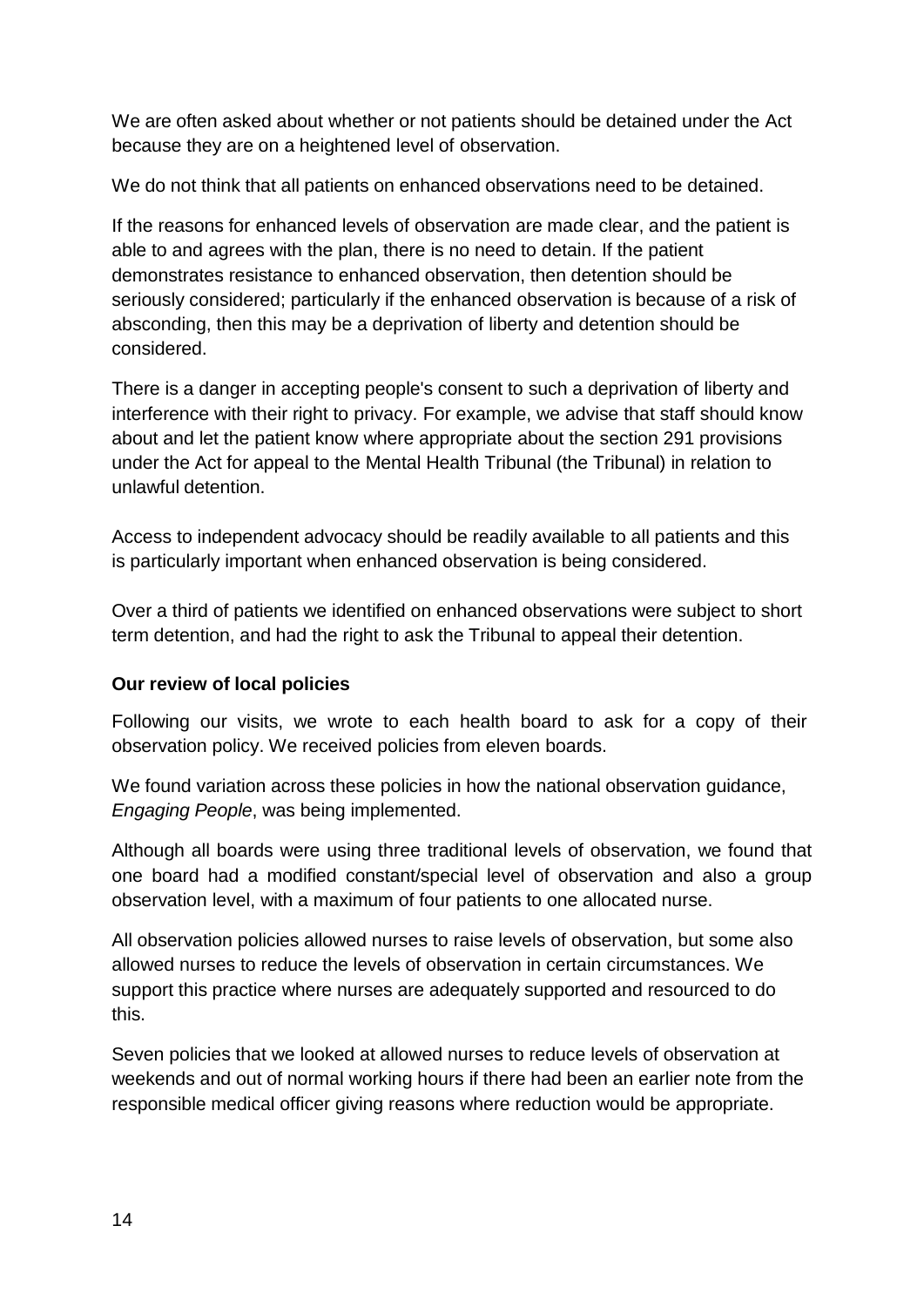We are often asked about whether or not patients should be detained under the Act because they are on a heightened level of observation.

We do not think that all patients on enhanced observations need to be detained.

If the reasons for enhanced levels of observation are made clear, and the patient is able to and agrees with the plan, there is no need to detain. If the patient demonstrates resistance to enhanced observation, then detention should be seriously considered; particularly if the enhanced observation is because of a risk of absconding, then this may be a deprivation of liberty and detention should be considered.

There is a danger in accepting people's consent to such a deprivation of liberty and interference with their right to privacy. For example, we advise that staff should know about and let the patient know where appropriate about the section 291 provisions under the Act for appeal to the Mental Health Tribunal (the Tribunal) in relation to unlawful detention.

Access to independent advocacy should be readily available to all patients and this is particularly important when enhanced observation is being considered.

Over a third of patients we identified on enhanced observations were subject to short term detention, and had the right to ask the Tribunal to appeal their detention.

### **Our review of local policies**

Following our visits, we wrote to each health board to ask for a copy of their observation policy. We received policies from eleven boards.

We found variation across these policies in how the national observation guidance, *Engaging People*, was being implemented.

Although all boards were using three traditional levels of observation, we found that one board had a modified constant/special level of observation and also a group observation level, with a maximum of four patients to one allocated nurse.

All observation policies allowed nurses to raise levels of observation, but some also allowed nurses to reduce the levels of observation in certain circumstances. We support this practice where nurses are adequately supported and resourced to do this.

Seven policies that we looked at allowed nurses to reduce levels of observation at weekends and out of normal working hours if there had been an earlier note from the responsible medical officer giving reasons where reduction would be appropriate.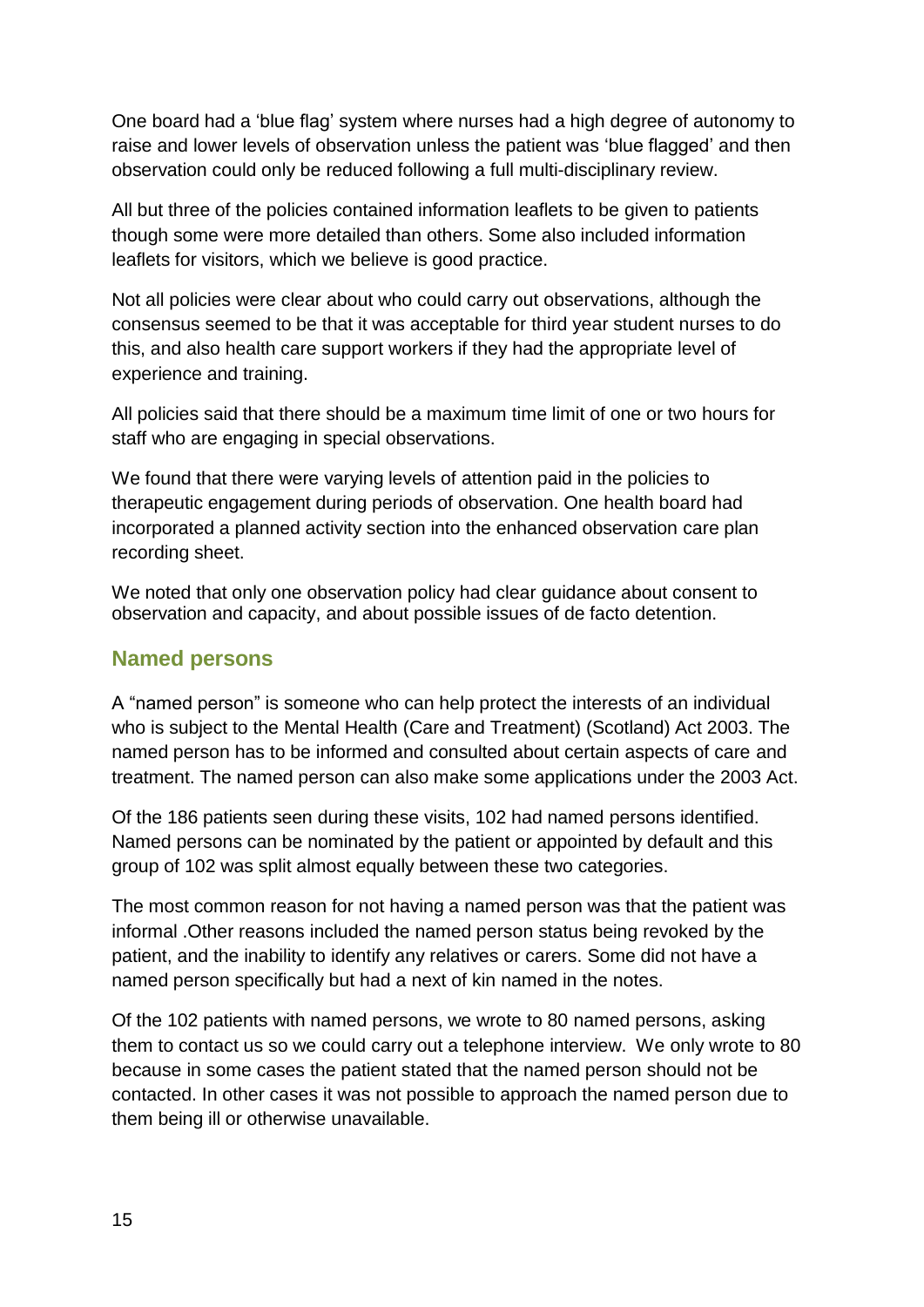One board had a 'blue flag' system where nurses had a high degree of autonomy to raise and lower levels of observation unless the patient was 'blue flagged' and then observation could only be reduced following a full multi-disciplinary review.

All but three of the policies contained information leaflets to be given to patients though some were more detailed than others. Some also included information leaflets for visitors, which we believe is good practice.

Not all policies were clear about who could carry out observations, although the consensus seemed to be that it was acceptable for third year student nurses to do this, and also health care support workers if they had the appropriate level of experience and training.

All policies said that there should be a maximum time limit of one or two hours for staff who are engaging in special observations.

We found that there were varying levels of attention paid in the policies to therapeutic engagement during periods of observation. One health board had incorporated a planned activity section into the enhanced observation care plan recording sheet.

We noted that only one observation policy had clear guidance about consent to observation and capacity, and about possible issues of de facto detention.

### <span id="page-15-0"></span>**Named persons**

A "named person" is someone who can help protect the interests of an individual who is subject to the Mental Health (Care and Treatment) (Scotland) Act 2003. The named person has to be informed and consulted about certain aspects of care and treatment. The named person can also make some applications under the 2003 Act.

Of the 186 patients seen during these visits, 102 had named persons identified. Named persons can be nominated by the patient or appointed by default and this group of 102 was split almost equally between these two categories.

The most common reason for not having a named person was that the patient was informal .Other reasons included the named person status being revoked by the patient, and the inability to identify any relatives or carers. Some did not have a named person specifically but had a next of kin named in the notes.

Of the 102 patients with named persons, we wrote to 80 named persons, asking them to contact us so we could carry out a telephone interview. We only wrote to 80 because in some cases the patient stated that the named person should not be contacted. In other cases it was not possible to approach the named person due to them being ill or otherwise unavailable.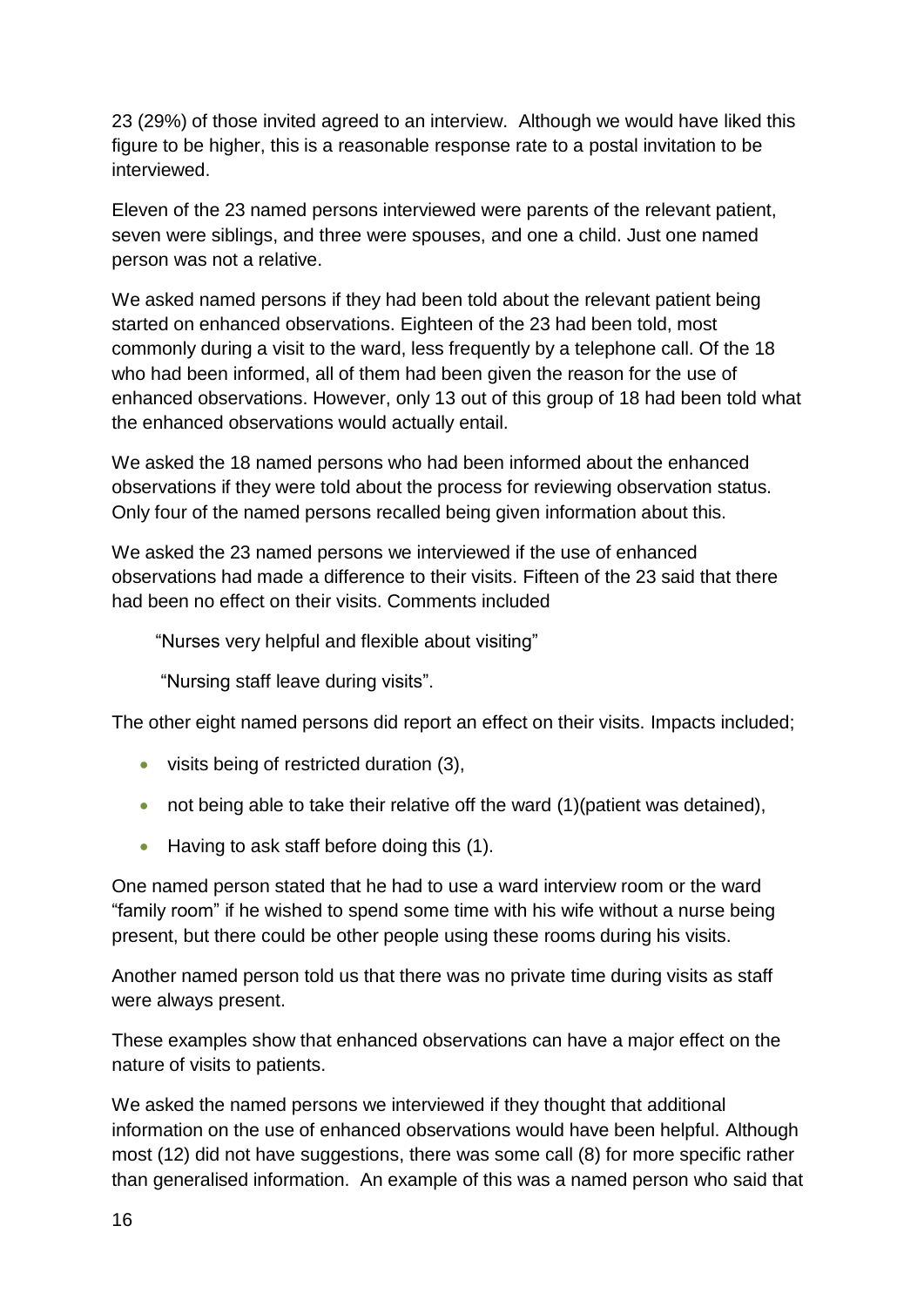23 (29%) of those invited agreed to an interview. Although we would have liked this figure to be higher, this is a reasonable response rate to a postal invitation to be interviewed.

Eleven of the 23 named persons interviewed were parents of the relevant patient, seven were siblings, and three were spouses, and one a child. Just one named person was not a relative.

We asked named persons if they had been told about the relevant patient being started on enhanced observations. Eighteen of the 23 had been told, most commonly during a visit to the ward, less frequently by a telephone call. Of the 18 who had been informed, all of them had been given the reason for the use of enhanced observations. However, only 13 out of this group of 18 had been told what the enhanced observations would actually entail.

We asked the 18 named persons who had been informed about the enhanced observations if they were told about the process for reviewing observation status. Only four of the named persons recalled being given information about this.

We asked the 23 named persons we interviewed if the use of enhanced observations had made a difference to their visits. Fifteen of the 23 said that there had been no effect on their visits. Comments included

"Nurses very helpful and flexible about visiting"

"Nursing staff leave during visits".

The other eight named persons did report an effect on their visits. Impacts included;

- visits being of restricted duration (3),
- not being able to take their relative off the ward (1)(patient was detained),
- Having to ask staff before doing this (1).

One named person stated that he had to use a ward interview room or the ward "family room" if he wished to spend some time with his wife without a nurse being present, but there could be other people using these rooms during his visits.

Another named person told us that there was no private time during visits as staff were always present.

These examples show that enhanced observations can have a major effect on the nature of visits to patients.

We asked the named persons we interviewed if they thought that additional information on the use of enhanced observations would have been helpful. Although most (12) did not have suggestions, there was some call (8) for more specific rather than generalised information. An example of this was a named person who said that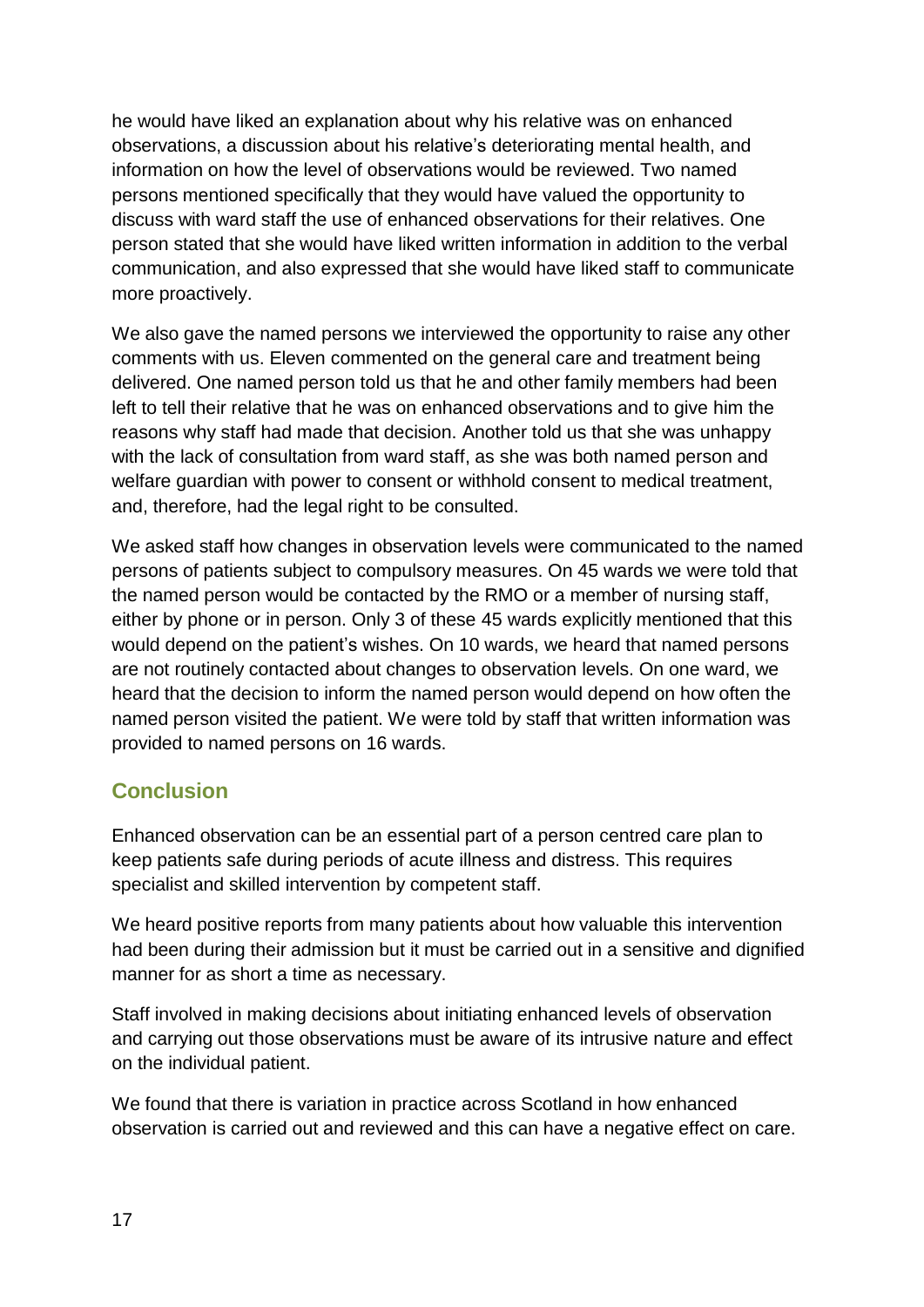he would have liked an explanation about why his relative was on enhanced observations, a discussion about his relative's deteriorating mental health, and information on how the level of observations would be reviewed. Two named persons mentioned specifically that they would have valued the opportunity to discuss with ward staff the use of enhanced observations for their relatives. One person stated that she would have liked written information in addition to the verbal communication, and also expressed that she would have liked staff to communicate more proactively.

We also gave the named persons we interviewed the opportunity to raise any other comments with us. Eleven commented on the general care and treatment being delivered. One named person told us that he and other family members had been left to tell their relative that he was on enhanced observations and to give him the reasons why staff had made that decision. Another told us that she was unhappy with the lack of consultation from ward staff, as she was both named person and welfare guardian with power to consent or withhold consent to medical treatment, and, therefore, had the legal right to be consulted.

We asked staff how changes in observation levels were communicated to the named persons of patients subject to compulsory measures. On 45 wards we were told that the named person would be contacted by the RMO or a member of nursing staff, either by phone or in person. Only 3 of these 45 wards explicitly mentioned that this would depend on the patient's wishes. On 10 wards, we heard that named persons are not routinely contacted about changes to observation levels. On one ward, we heard that the decision to inform the named person would depend on how often the named person visited the patient. We were told by staff that written information was provided to named persons on 16 wards.

## <span id="page-17-0"></span>**Conclusion**

Enhanced observation can be an essential part of a person centred care plan to keep patients safe during periods of acute illness and distress. This requires specialist and skilled intervention by competent staff.

We heard positive reports from many patients about how valuable this intervention had been during their admission but it must be carried out in a sensitive and dignified manner for as short a time as necessary.

Staff involved in making decisions about initiating enhanced levels of observation and carrying out those observations must be aware of its intrusive nature and effect on the individual patient.

We found that there is variation in practice across Scotland in how enhanced observation is carried out and reviewed and this can have a negative effect on care.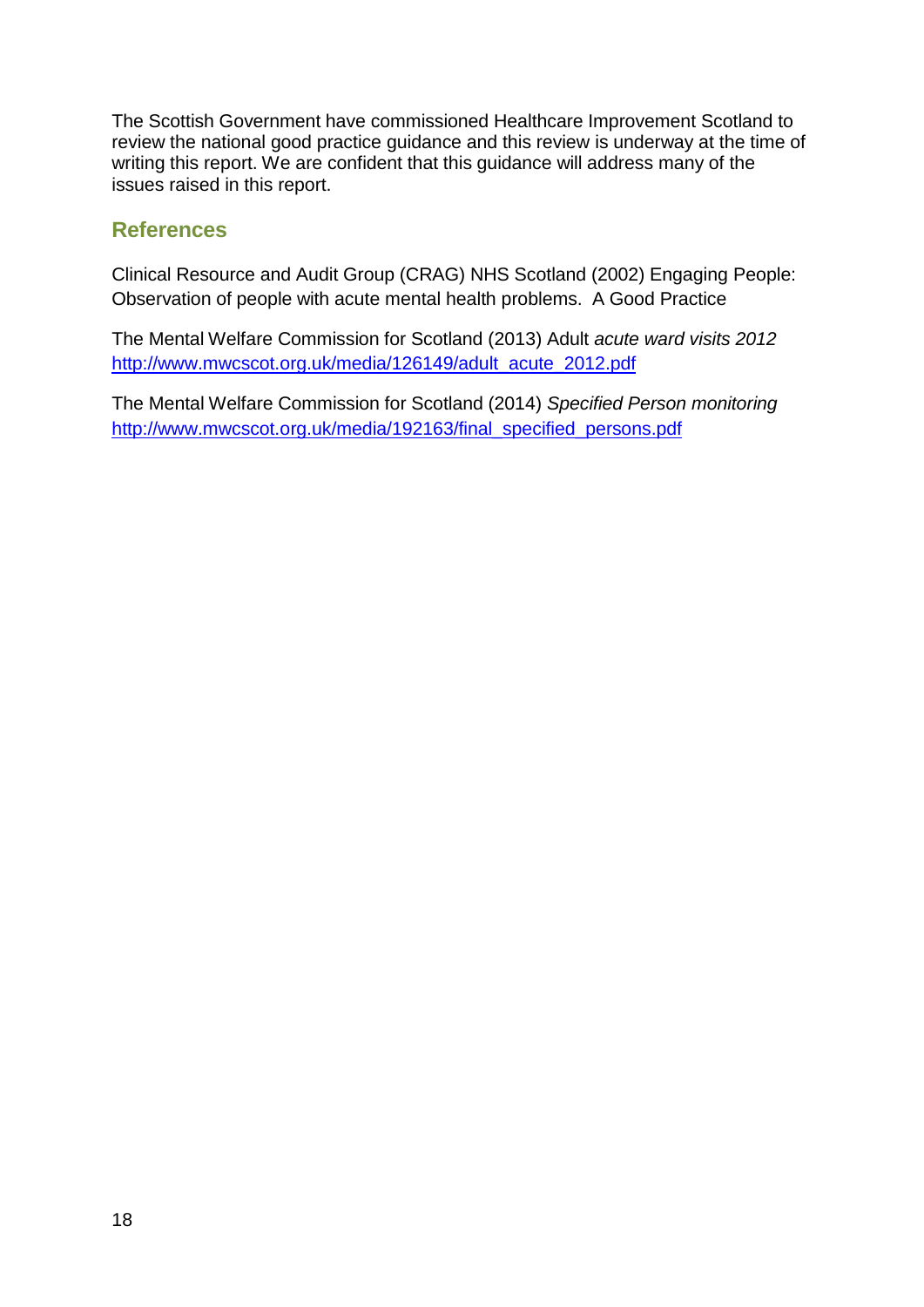The Scottish Government have commissioned Healthcare Improvement Scotland to review the national good practice guidance and this review is underway at the time of writing this report. We are confident that this guidance will address many of the issues raised in this report.

### <span id="page-18-0"></span>**References**

Clinical Resource and Audit Group (CRAG) NHS Scotland (2002) Engaging People: Observation of people with acute mental health problems. A Good Practice

The Mental Welfare Commission for Scotland (2013) Adult *acute ward visits 2012* [http://www.mwcscot.org.uk/media/126149/adult\\_acute\\_2012.pdf](http://www.mwcscot.org.uk/media/126149/adult_acute_2012.pdf)

The Mental Welfare Commission for Scotland (2014) *Specified Person monitoring* [http://www.mwcscot.org.uk/media/192163/final\\_specified\\_persons.pdf](http://www.mwcscot.org.uk/media/192163/final_specified_persons.pdf)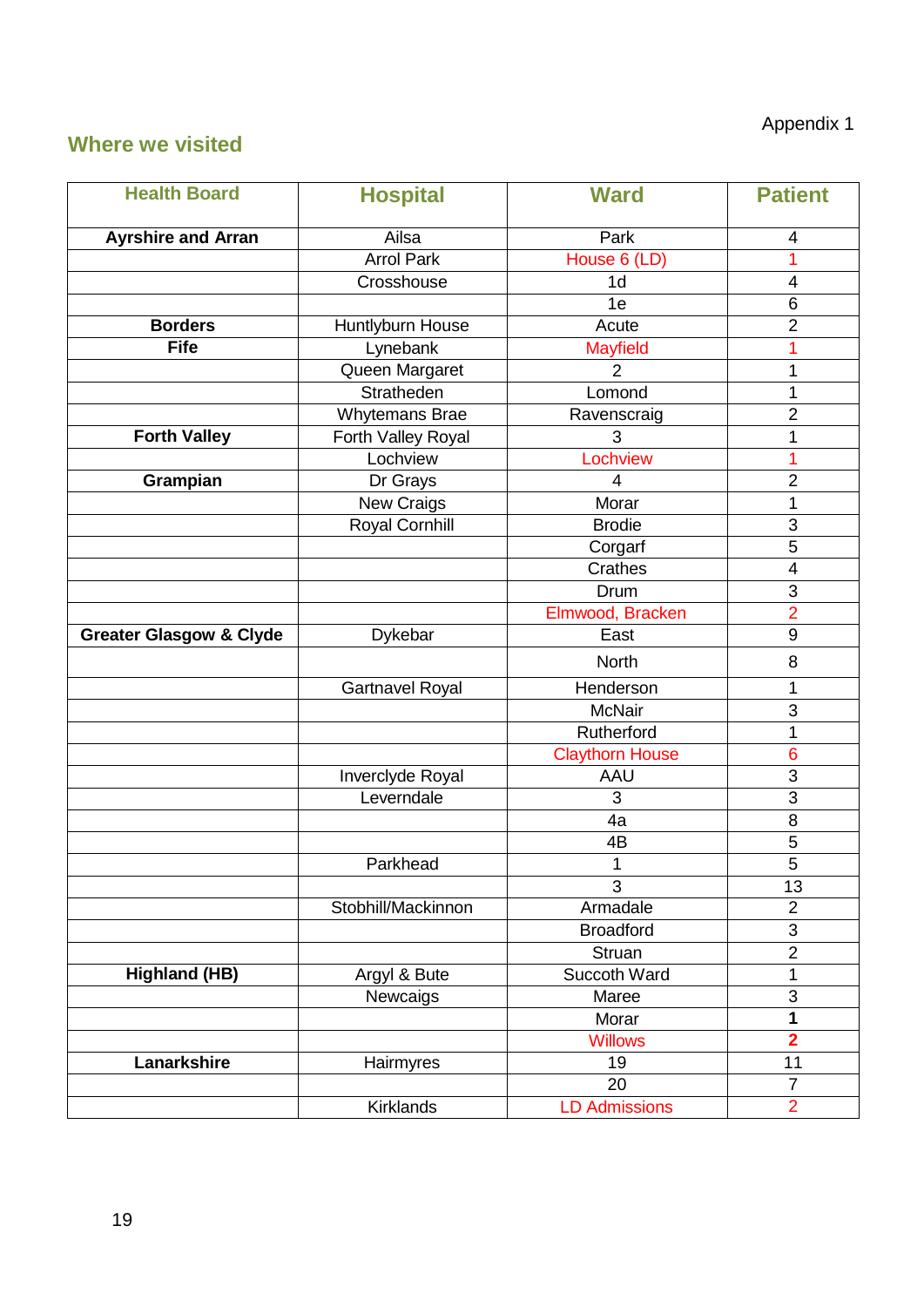# Appendix 1

## <span id="page-19-0"></span>**Where we visited**

| <b>Health Board</b>                | <b>Hospital</b>                            | <b>Ward</b>            | <b>Patient</b>          |
|------------------------------------|--------------------------------------------|------------------------|-------------------------|
| <b>Ayrshire and Arran</b>          | Ailsa                                      | Park                   |                         |
|                                    | <b>Arrol Park</b>                          | House 6 (LD)           | 4<br>1                  |
|                                    | Crosshouse                                 | 1 <sub>d</sub>         | $\overline{4}$          |
|                                    |                                            | 1e                     | $\,6$                   |
| <b>Borders</b>                     | Huntlyburn House                           | Acute                  | $\overline{2}$          |
| <b>Fife</b>                        | Lynebank                                   | <b>Mayfield</b>        | 1                       |
|                                    | Queen Margaret                             | $\overline{2}$         | 1                       |
|                                    | Stratheden                                 | Lomond                 | 1                       |
|                                    | <b>Whytemans Brae</b>                      | Ravenscraig            | $\overline{2}$          |
| <b>Forth Valley</b>                |                                            | 3                      | 1                       |
|                                    | Forth Valley Royal<br>Lochview             | Lochview               | 1                       |
|                                    |                                            | 4                      | $\overline{2}$          |
| Grampian                           | Dr Grays                                   | Morar                  |                         |
|                                    | <b>New Craigs</b><br><b>Royal Cornhill</b> | <b>Brodie</b>          | 1<br>3                  |
|                                    |                                            |                        |                         |
|                                    |                                            | Corgarf                | 5                       |
|                                    |                                            | Crathes                | $\overline{\mathbf{4}}$ |
|                                    |                                            | Drum                   | $\overline{3}$          |
|                                    |                                            | Elmwood, Bracken       | $\overline{2}$          |
| <b>Greater Glasgow &amp; Clyde</b> | Dykebar                                    | East                   | 9                       |
|                                    |                                            | <b>North</b>           | 8                       |
|                                    | <b>Gartnavel Royal</b>                     | Henderson              | 1                       |
|                                    |                                            | <b>McNair</b>          | 3                       |
|                                    |                                            | Rutherford             | 1                       |
|                                    |                                            | <b>Claythorn House</b> | $6\phantom{1}6$         |
|                                    | Inverclyde Royal                           | AAU                    | 3                       |
|                                    | Leverndale                                 | 3                      | $\overline{3}$          |
|                                    |                                            | 4a                     | 8                       |
|                                    |                                            | 4B                     | $\overline{5}$          |
|                                    | Parkhead                                   | $\mathbf{1}$           | $\overline{5}$          |
|                                    |                                            | 3                      | 13                      |
|                                    | Stobhill/Mackinnon                         | Armadale               | $\overline{2}$          |
|                                    |                                            | <b>Broadford</b>       | $\overline{3}$          |
|                                    |                                            | Struan                 | $\overline{2}$          |
| <b>Highland (HB)</b>               | Argyl & Bute                               | Succoth Ward           | $\mathbf 1$             |
|                                    | Newcaigs                                   | Maree                  | 3                       |
|                                    |                                            | Morar                  | 1                       |
|                                    |                                            | <b>Willows</b>         | $\overline{2}$          |
| Lanarkshire                        | Hairmyres                                  | 19                     | 11                      |
|                                    |                                            | 20                     | $\overline{7}$          |
|                                    | <b>Kirklands</b>                           | <b>LD Admissions</b>   | $\overline{2}$          |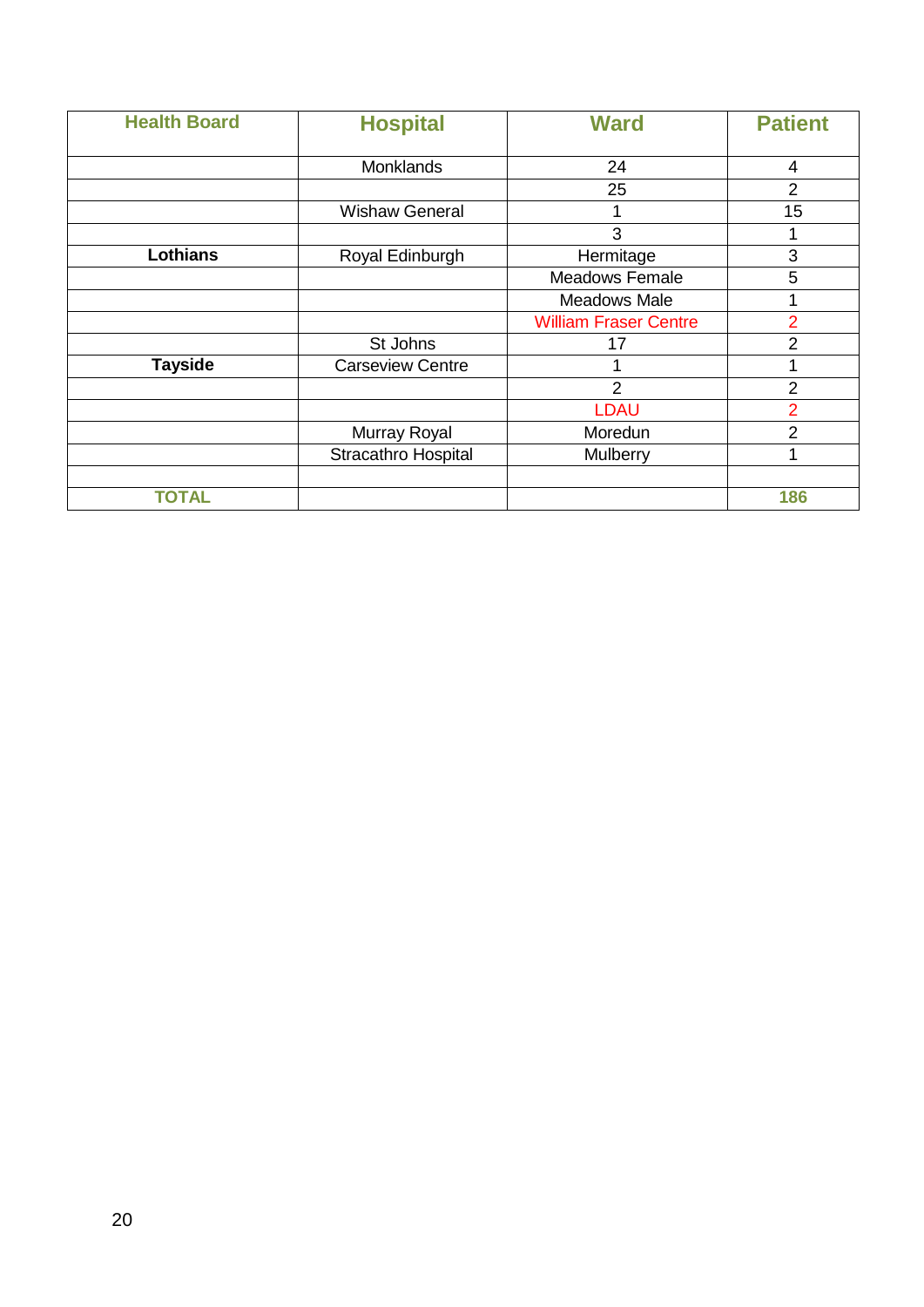| <b>Health Board</b> | <b>Hospital</b>         | <b>Ward</b>                  | <b>Patient</b> |
|---------------------|-------------------------|------------------------------|----------------|
|                     |                         |                              |                |
|                     | Monklands               | 24                           | 4              |
|                     |                         | 25                           | $\overline{2}$ |
|                     | <b>Wishaw General</b>   |                              | 15             |
|                     |                         | 3                            |                |
| <b>Lothians</b>     | Royal Edinburgh         | Hermitage                    | 3              |
|                     |                         | <b>Meadows Female</b>        | 5              |
|                     |                         | Meadows Male                 |                |
|                     |                         | <b>William Fraser Centre</b> | $\overline{2}$ |
|                     | St Johns                | 17                           | $\overline{2}$ |
| <b>Tayside</b>      | <b>Carseview Centre</b> |                              |                |
|                     |                         | $\overline{2}$               | $\overline{2}$ |
|                     |                         | <b>LDAU</b>                  | $\overline{2}$ |
|                     | Murray Royal            | Moredun                      | $\overline{2}$ |
|                     | Stracathro Hospital     | Mulberry                     | 1              |
| TOTAL               |                         |                              | 186            |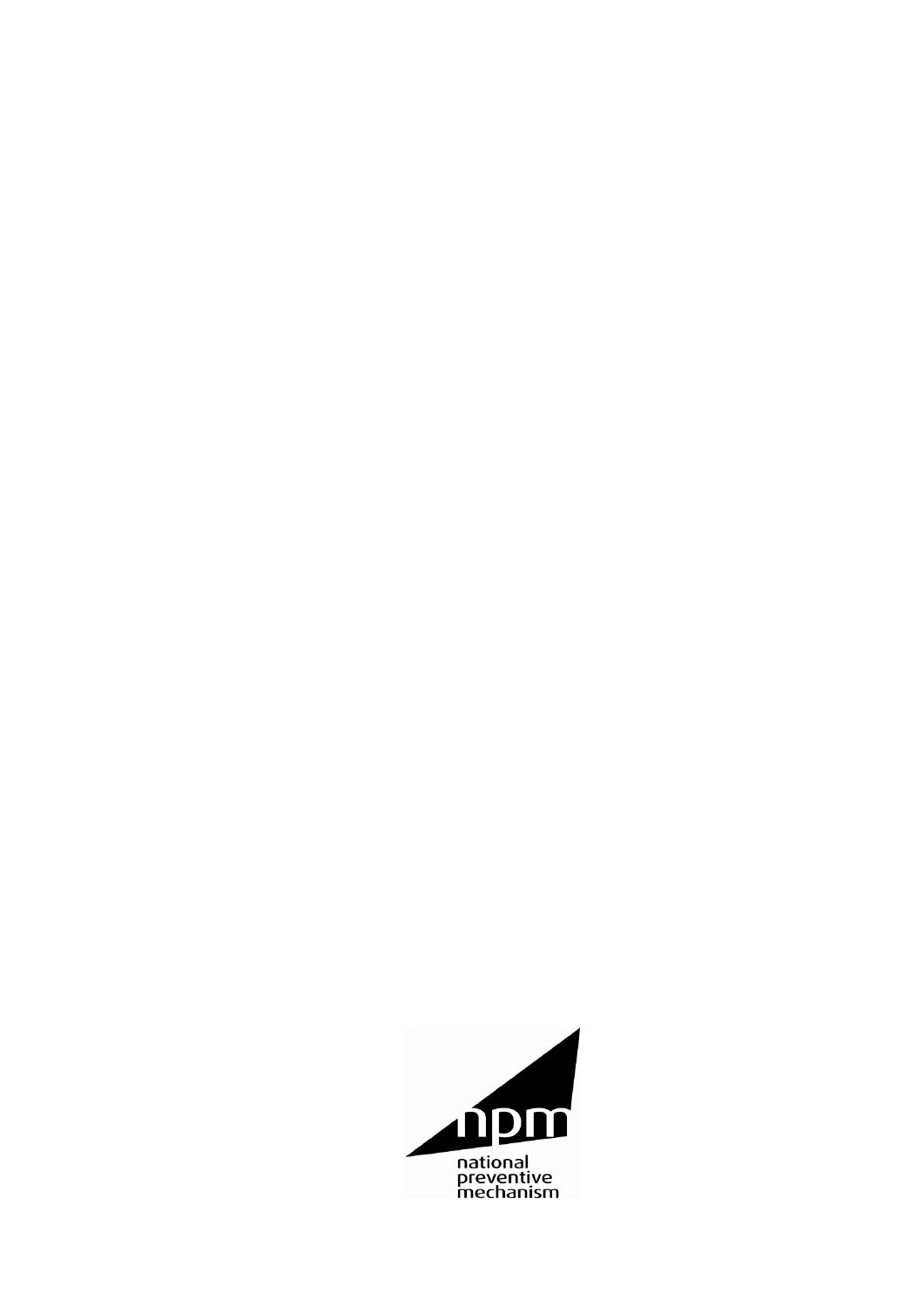